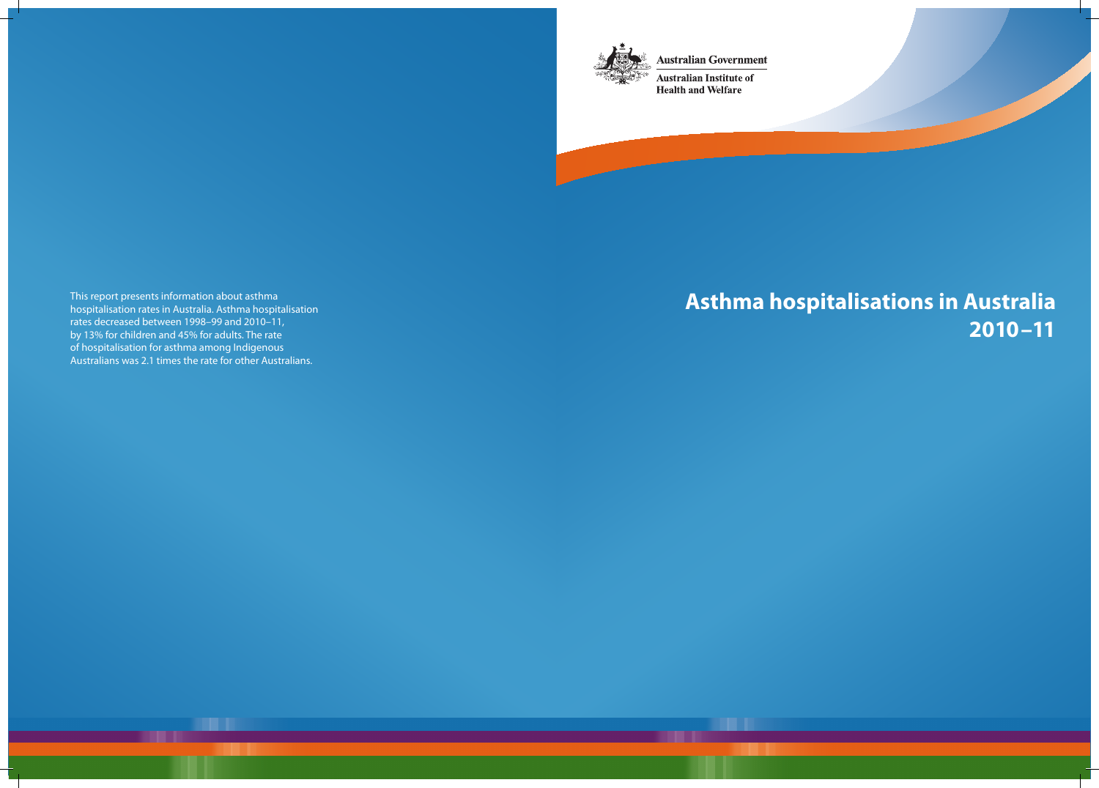**Australian Government** 



**Australian Institute of Health and Welfare** 

# **Asthma hospitalisations in Australia 2010–11**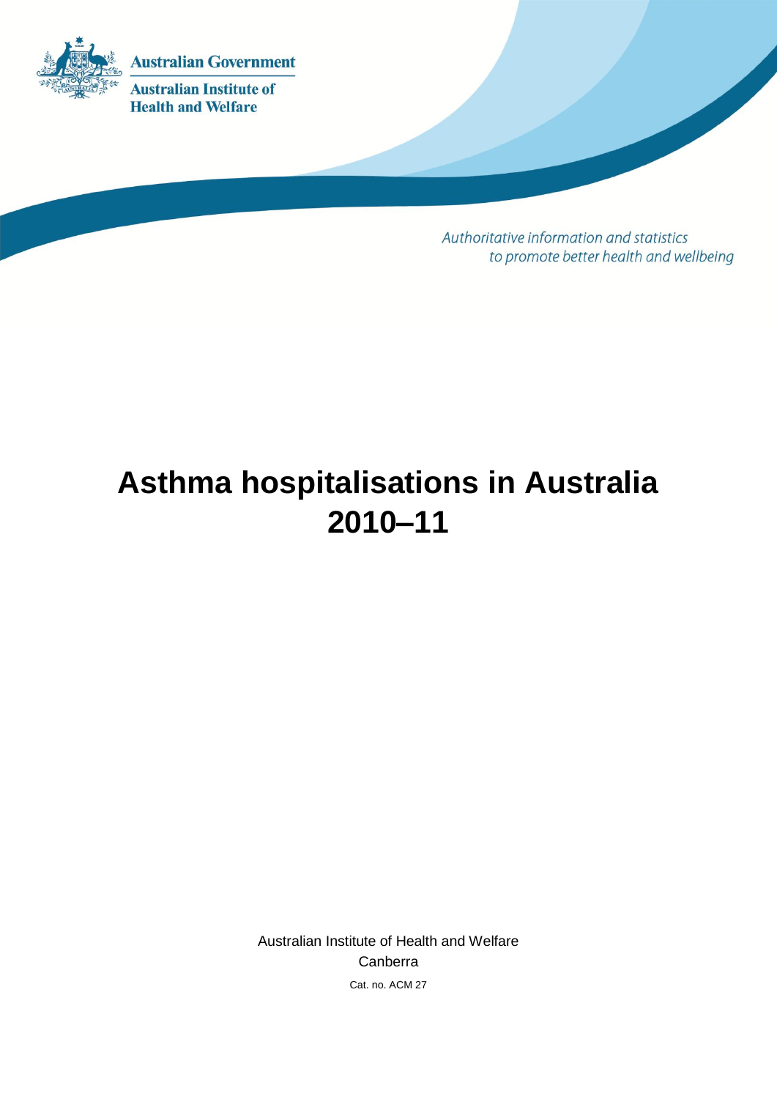

**Australian Institute of Health and Welfare** 

> Authoritative information and statistics to promote better health and wellbeing

# **Asthma hospitalisations in Australia 2010–11**

Australian Institute of Health and Welfare Canberra Cat. no. ACM 27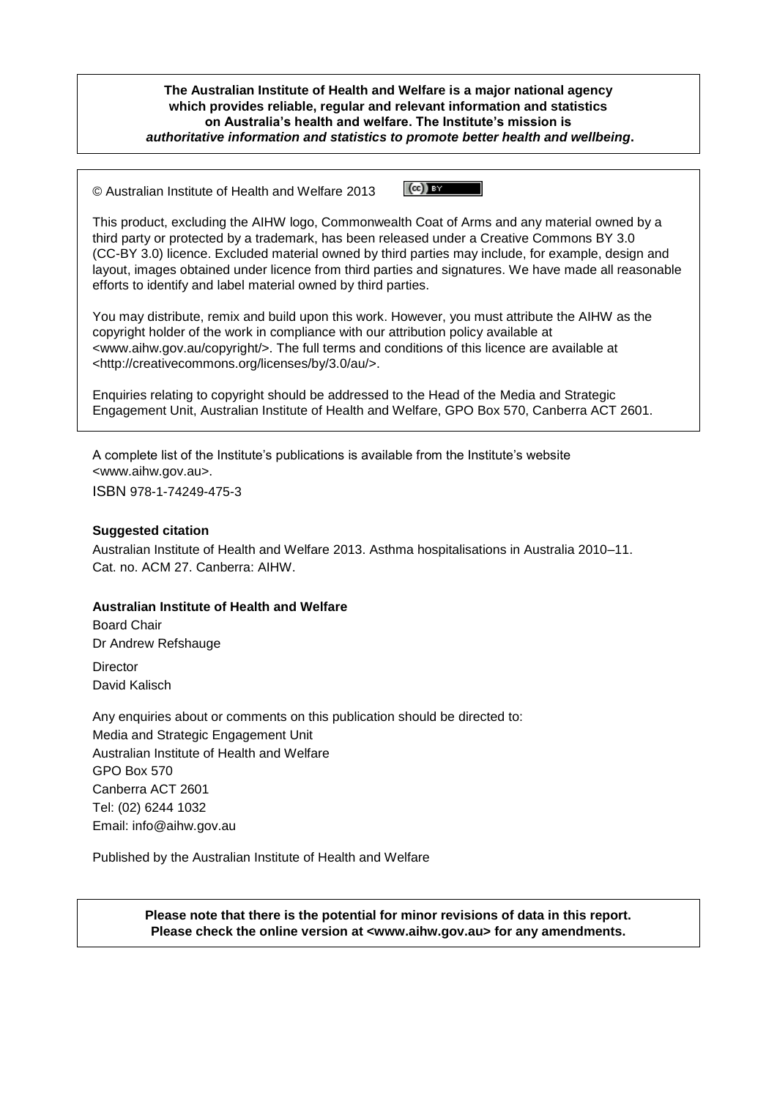**The Australian Institute of Health and Welfare is a major national agency which provides reliable, regular and relevant information and statistics on Australia's health and welfare. The Institute's mission is** *authoritative information and statistics to promote better health and wellbeing***.**

 $\left(\mathrm{cc}\right)$  BY © Australian Institute of Health and Welfare 2013

This product, excluding the AIHW logo, Commonwealth Coat of Arms and any material owned by a third party or protected by a trademark, has been released under a Creative Commons BY 3.0 (CC-BY 3.0) licence. Excluded material owned by third parties may include, for example, design and layout, images obtained under licence from third parties and signatures. We have made all reasonable efforts to identify and label material owned by third parties.

You may distribute, remix and build upon this work. However, you must attribute the AIHW as the copyright holder of the work in compliance with our attribution policy available at <www.aihw.gov.au/copyright/>. The full terms and conditions of this licence are available at <http://creativecommons.org/licenses/by/3.0/au/>.

Enquiries relating to copyright should be addressed to the Head of the Media and Strategic Engagement Unit, Australian Institute of Health and Welfare, GPO Box 570, Canberra ACT 2601.

A complete list of the Institute's publications is available from the Institute's website <www.aihw.gov.au>.

ISBN 978-1-74249-475-3

#### **Suggested citation**

Australian Institute of Health and Welfare 2013. Asthma hospitalisations in Australia 2010–11. Cat. no. ACM 27. Canberra: AIHW.

#### **Australian Institute of Health and Welfare**

Board Chair Dr Andrew Refshauge **Director** 

David Kalisch

Any enquiries about or comments on this publication should be directed to: Media and Strategic Engagement Unit Australian Institute of Health and Welfare GPO Box 570 Canberra ACT 2601 Tel: (02) 6244 1032 Email: info@aihw.gov.au

Published by the Australian Institute of Health and Welfare

**Please note that there is the potential for minor revisions of data in this report. Please check the online version at <www.aihw.gov.au> for any amendments.**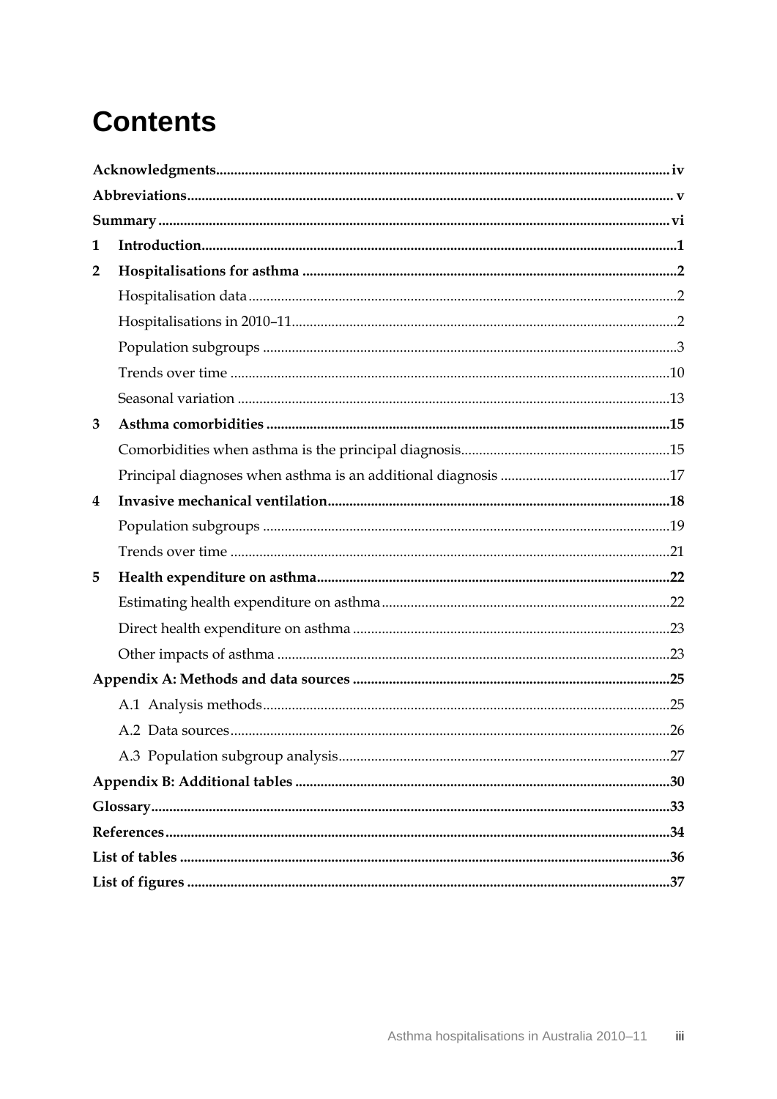# **Contents**

| 1              |  |  |  |  |  |
|----------------|--|--|--|--|--|
| $\overline{2}$ |  |  |  |  |  |
|                |  |  |  |  |  |
|                |  |  |  |  |  |
|                |  |  |  |  |  |
|                |  |  |  |  |  |
|                |  |  |  |  |  |
| 3              |  |  |  |  |  |
|                |  |  |  |  |  |
|                |  |  |  |  |  |
| 4              |  |  |  |  |  |
|                |  |  |  |  |  |
|                |  |  |  |  |  |
| 5              |  |  |  |  |  |
|                |  |  |  |  |  |
|                |  |  |  |  |  |
|                |  |  |  |  |  |
|                |  |  |  |  |  |
|                |  |  |  |  |  |
|                |  |  |  |  |  |
|                |  |  |  |  |  |
|                |  |  |  |  |  |
|                |  |  |  |  |  |
|                |  |  |  |  |  |
|                |  |  |  |  |  |
|                |  |  |  |  |  |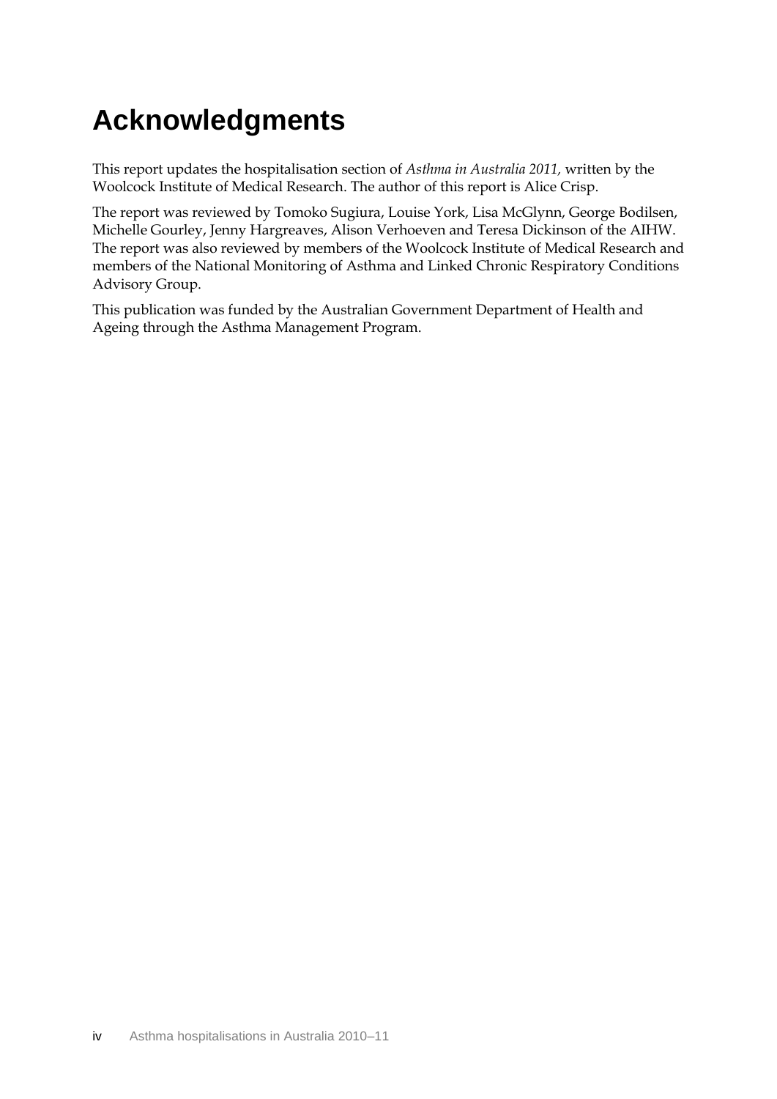# <span id="page-4-0"></span>**Acknowledgments**

This report updates the hospitalisation section of *Asthma in Australia 2011,* written by the Woolcock Institute of Medical Research. The author of this report is Alice Crisp.

The report was reviewed by Tomoko Sugiura, Louise York, Lisa McGlynn, George Bodilsen, Michelle Gourley, Jenny Hargreaves, Alison Verhoeven and Teresa Dickinson of the AIHW. The report was also reviewed by members of the Woolcock Institute of Medical Research and members of the National Monitoring of Asthma and Linked Chronic Respiratory Conditions Advisory Group.

This publication was funded by the Australian Government Department of Health and Ageing through the Asthma Management Program.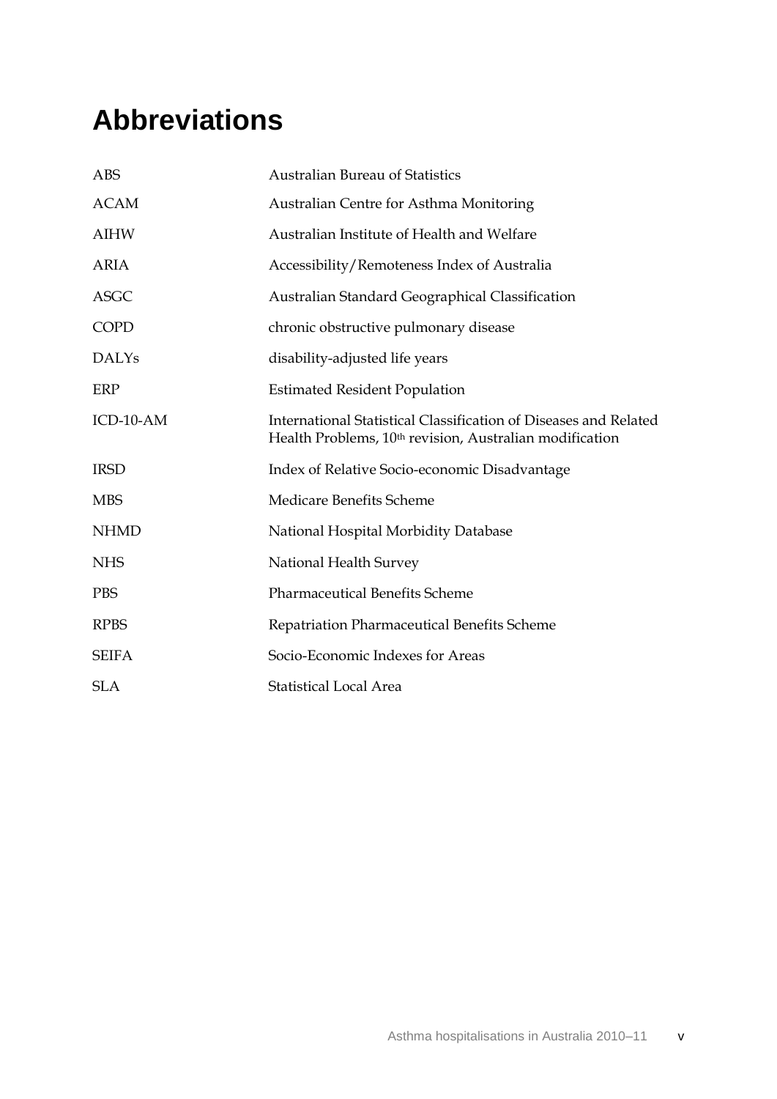# <span id="page-5-0"></span>**Abbreviations**

| <b>ABS</b>   | <b>Australian Bureau of Statistics</b>                                                                                                  |
|--------------|-----------------------------------------------------------------------------------------------------------------------------------------|
| <b>ACAM</b>  | Australian Centre for Asthma Monitoring                                                                                                 |
| <b>AIHW</b>  | Australian Institute of Health and Welfare                                                                                              |
| <b>ARIA</b>  | Accessibility/Remoteness Index of Australia                                                                                             |
| <b>ASGC</b>  | Australian Standard Geographical Classification                                                                                         |
| <b>COPD</b>  | chronic obstructive pulmonary disease                                                                                                   |
| <b>DALYs</b> | disability-adjusted life years                                                                                                          |
| ERP          | <b>Estimated Resident Population</b>                                                                                                    |
| $ICD-10-AM$  | International Statistical Classification of Diseases and Related<br>Health Problems, 10 <sup>th</sup> revision, Australian modification |
| <b>IRSD</b>  | Index of Relative Socio-economic Disadvantage                                                                                           |
| <b>MBS</b>   | Medicare Benefits Scheme                                                                                                                |
| <b>NHMD</b>  | National Hospital Morbidity Database                                                                                                    |
| <b>NHS</b>   | National Health Survey                                                                                                                  |
| <b>PBS</b>   | <b>Pharmaceutical Benefits Scheme</b>                                                                                                   |
| <b>RPBS</b>  | Repatriation Pharmaceutical Benefits Scheme                                                                                             |
| <b>SEIFA</b> | Socio-Economic Indexes for Areas                                                                                                        |
| <b>SLA</b>   | <b>Statistical Local Area</b>                                                                                                           |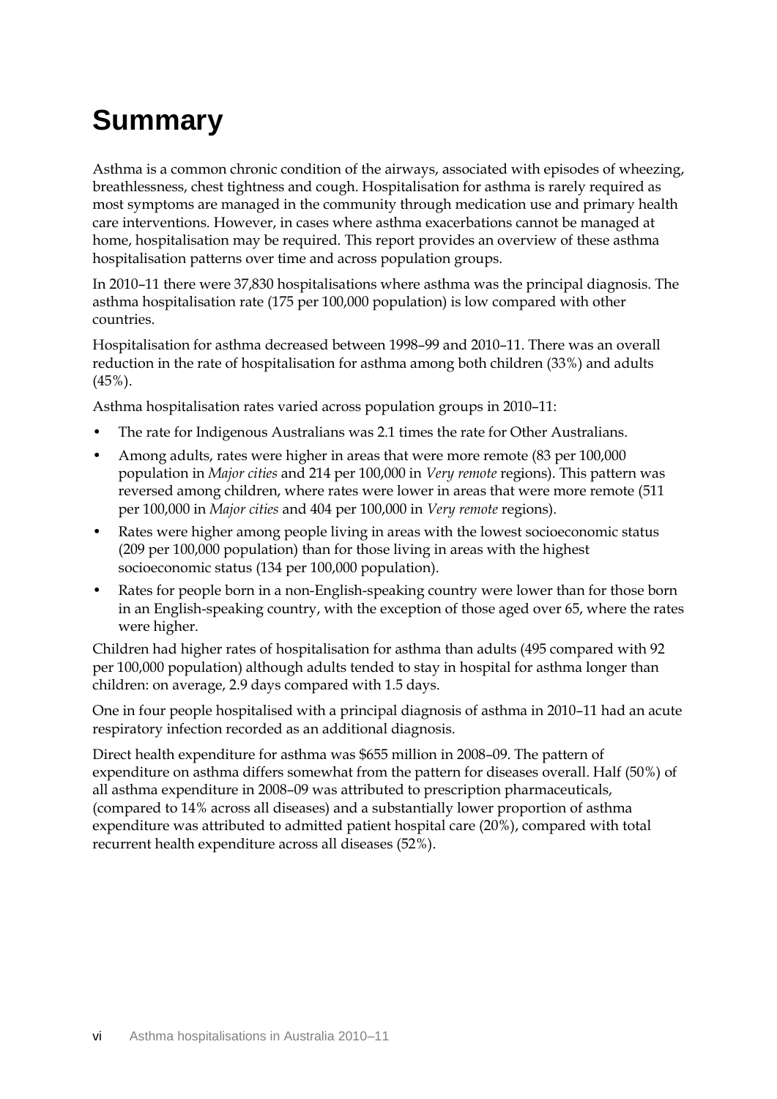# <span id="page-6-0"></span>**Summary**

Asthma is a common chronic condition of the airways, associated with episodes of wheezing, breathlessness, chest tightness and cough. Hospitalisation for asthma is rarely required as most symptoms are managed in the community through medication use and primary health care interventions. However, in cases where asthma exacerbations cannot be managed at home, hospitalisation may be required. This report provides an overview of these asthma hospitalisation patterns over time and across population groups.

In 2010–11 there were 37,830 hospitalisations where asthma was the principal diagnosis. The asthma hospitalisation rate (175 per 100,000 population) is low compared with other countries.

Hospitalisation for asthma decreased between 1998–99 and 2010–11. There was an overall reduction in the rate of hospitalisation for asthma among both children (33%) and adults  $(45\%)$ .

Asthma hospitalisation rates varied across population groups in 2010–11:

- The rate for Indigenous Australians was 2.1 times the rate for Other Australians.
- Among adults, rates were higher in areas that were more remote (83 per 100,000 population in *Major cities* and 214 per 100,000 in *Very remote* regions). This pattern was reversed among children, where rates were lower in areas that were more remote (511 per 100,000 in *Major cities* and 404 per 100,000 in *Very remote* regions).
- Rates were higher among people living in areas with the lowest socioeconomic status (209 per 100,000 population) than for those living in areas with the highest socioeconomic status (134 per 100,000 population).
- Rates for people born in a non-English-speaking country were lower than for those born in an English-speaking country, with the exception of those aged over 65, where the rates were higher.

Children had higher rates of hospitalisation for asthma than adults (495 compared with 92 per 100,000 population) although adults tended to stay in hospital for asthma longer than children: on average, 2.9 days compared with 1.5 days.

One in four people hospitalised with a principal diagnosis of asthma in 2010–11 had an acute respiratory infection recorded as an additional diagnosis.

Direct health expenditure for asthma was \$655 million in 2008–09. The pattern of expenditure on asthma differs somewhat from the pattern for diseases overall. Half (50%) of all asthma expenditure in 2008–09 was attributed to prescription pharmaceuticals, (compared to 14% across all diseases) and a substantially lower proportion of asthma expenditure was attributed to admitted patient hospital care (20%), compared with total recurrent health expenditure across all diseases (52%).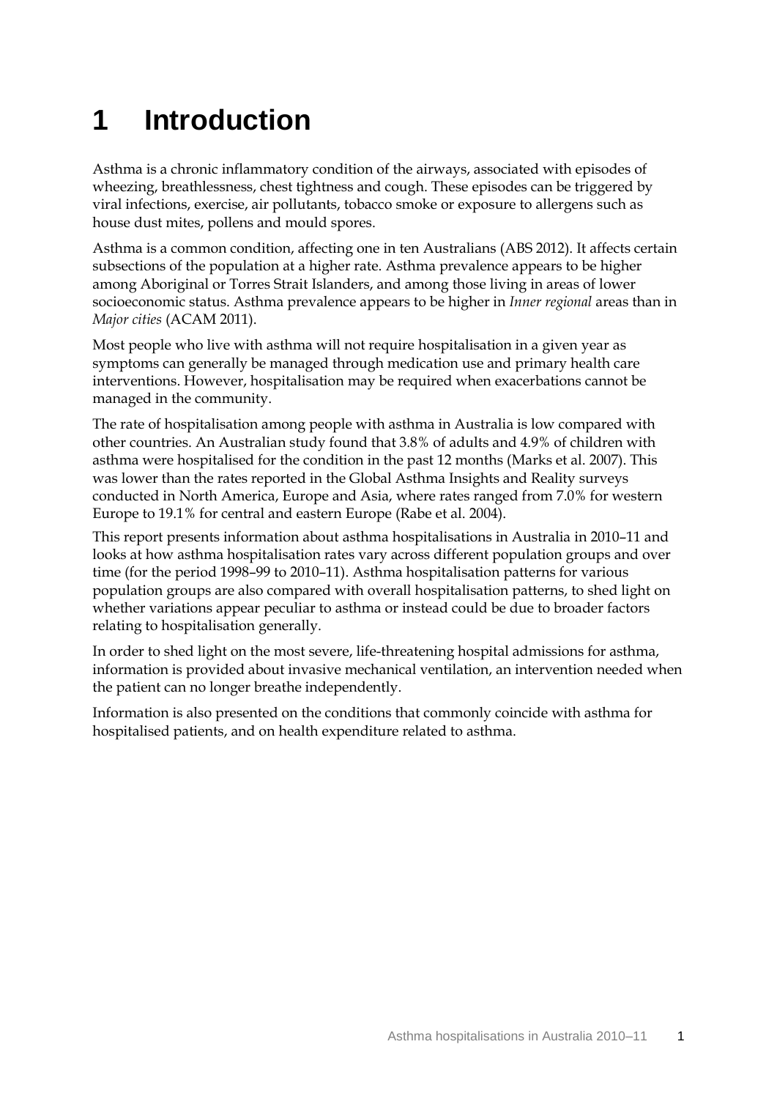# <span id="page-7-0"></span>**1 Introduction**

Asthma is a chronic inflammatory condition of the airways, associated with episodes of wheezing, breathlessness, chest tightness and cough. These episodes can be triggered by viral infections, exercise, air pollutants, tobacco smoke or exposure to allergens such as house dust mites, pollens and mould spores.

Asthma is a common condition, affecting one in ten Australians (ABS 2012). It affects certain subsections of the population at a higher rate. Asthma prevalence appears to be higher among Aboriginal or Torres Strait Islanders, and among those living in areas of lower socioeconomic status. Asthma prevalence appears to be higher in *Inner regional* areas than in *Major cities* (ACAM 2011).

Most people who live with asthma will not require hospitalisation in a given year as symptoms can generally be managed through medication use and primary health care interventions. However, hospitalisation may be required when exacerbations cannot be managed in the community.

The rate of hospitalisation among people with asthma in Australia is low compared with other countries. An Australian study found that 3.8% of adults and 4.9% of children with asthma were hospitalised for the condition in the past 12 months [\(Marks et al. 2007\)](#page-41-0). This was lower than the rates reported in the Global Asthma Insights and Reality surveys conducted in North America, Europe and Asia, where rates ranged from 7.0% for western Europe to 19.1% for central and eastern Europe [\(Rabe et al. 2004\)](#page-41-1).

This report presents information about asthma hospitalisations in Australia in 2010–11 and looks at how asthma hospitalisation rates vary across different population groups and over time (for the period 1998–99 to 2010–11). Asthma hospitalisation patterns for various population groups are also compared with overall hospitalisation patterns, to shed light on whether variations appear peculiar to asthma or instead could be due to broader factors relating to hospitalisation generally.

In order to shed light on the most severe, life-threatening hospital admissions for asthma, information is provided about invasive mechanical ventilation, an intervention needed when the patient can no longer breathe independently.

Information is also presented on the conditions that commonly coincide with asthma for hospitalised patients, and on health expenditure related to asthma.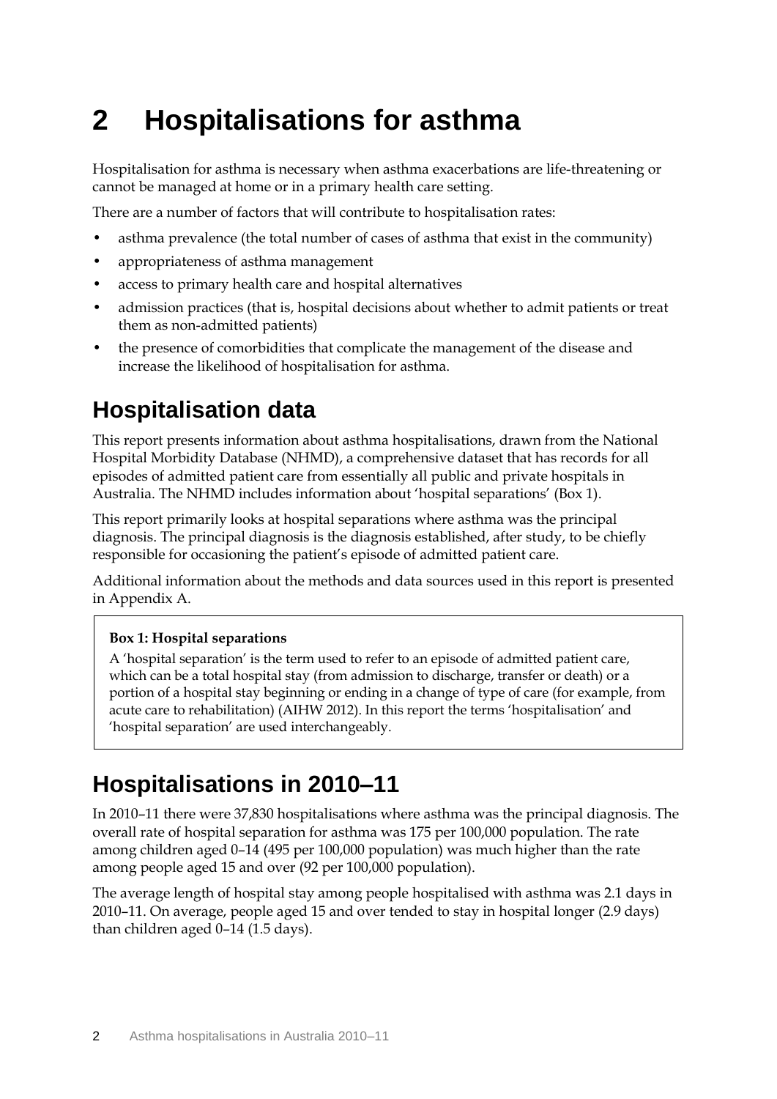# <span id="page-8-0"></span>**2 Hospitalisations for asthma**

Hospitalisation for asthma is necessary when asthma exacerbations are life-threatening or cannot be managed at home or in a primary health care setting.

There are a number of factors that will contribute to hospitalisation rates:

- asthma prevalence (the total number of cases of asthma that exist in the community)
- appropriateness of asthma management
- access to primary health care and hospital alternatives
- admission practices (that is, hospital decisions about whether to admit patients or treat them as non-admitted patients)
- the presence of comorbidities that complicate the management of the disease and increase the likelihood of hospitalisation for asthma.

## <span id="page-8-1"></span>**Hospitalisation data**

This report presents information about asthma hospitalisations, drawn from the National Hospital Morbidity Database (NHMD), a comprehensive dataset that has records for all episodes of admitted patient care from essentially all public and private hospitals in Australia. The NHMD includes information about 'hospital separations' (Box 1).

This report primarily looks at hospital separations where asthma was the principal diagnosis. The principal diagnosis is the diagnosis established, after study, to be chiefly responsible for occasioning the patient's episode of admitted patient care.

Additional information about the methods and data sources used in this report is presented in Appendix A.

### **Box 1: Hospital separations**

A 'hospital separation' is the term used to refer to an episode of admitted patient care, which can be a total hospital stay (from admission to discharge, transfer or death) or a portion of a hospital stay beginning or ending in a change of type of care (for example, from acute care to rehabilitation) (AIHW 2012). In this report the terms 'hospitalisation' and 'hospital separation' are used interchangeably.

### <span id="page-8-2"></span>**Hospitalisations in 2010–11**

In 2010–11 there were 37,830 hospitalisations where asthma was the principal diagnosis. The overall rate of hospital separation for asthma was 175 per 100,000 population. The rate among children aged 0–14 (495 per 100,000 population) was much higher than the rate among people aged 15 and over (92 per 100,000 population).

The average length of hospital stay among people hospitalised with asthma was 2.1 days in 2010–11. On average, people aged 15 and over tended to stay in hospital longer (2.9 days) than children aged 0–14 (1.5 days).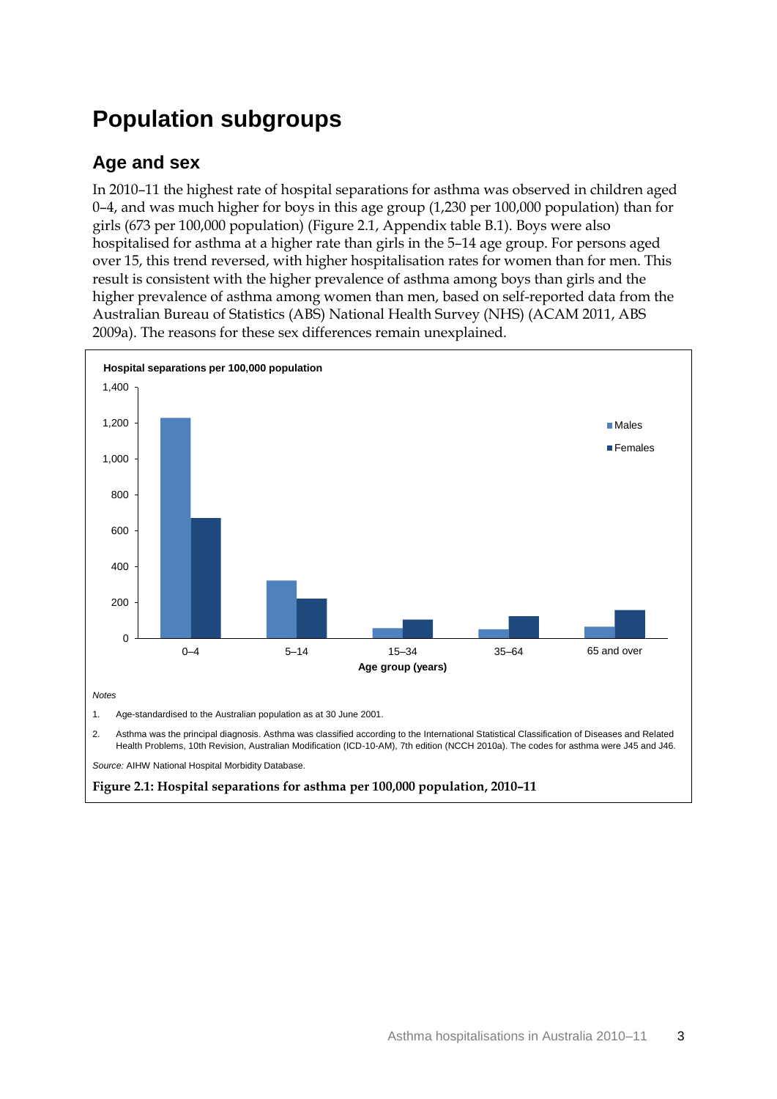## <span id="page-9-0"></span>**Population subgroups**

### **Age and sex**

In 2010–11 the highest rate of hospital separations for asthma was observed in children aged 0–4, and was much higher for boys in this age group (1,230 per 100,000 population) than for girls (673 per 100,000 population) (Figure 2.1, Appendix table B.1). Boys were also hospitalised for asthma at a higher rate than girls in the 5–14 age group. For persons aged over 15, this trend reversed, with higher hospitalisation rates for women than for men. This result is consistent with the higher prevalence of asthma among boys than girls and the higher prevalence of asthma among women than men, based on self-reported data from the Australian Bureau of Statistics (ABS) National Health Survey (NHS) (ACAM 2011, ABS 2009a). The reasons for these sex differences remain unexplained.

<span id="page-9-1"></span>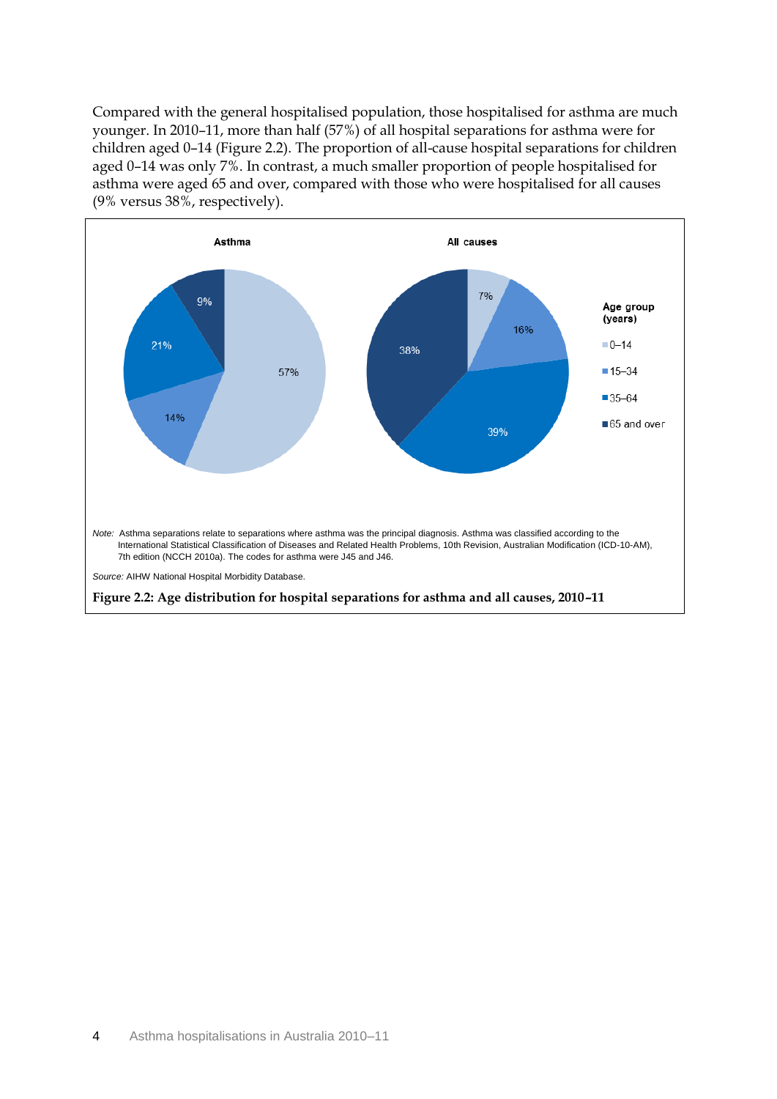Compared with the general hospitalised population, those hospitalised for asthma are much younger. In 2010–11, more than half (57%) of all hospital separations for asthma were for children aged 0–14 (Figure 2.2). The proportion of all-cause hospital separations for children aged 0–14 was only 7%. In contrast, a much smaller proportion of people hospitalised for asthma were aged 65 and over, compared with those who were hospitalised for all causes (9% versus 38%, respectively).

<span id="page-10-0"></span>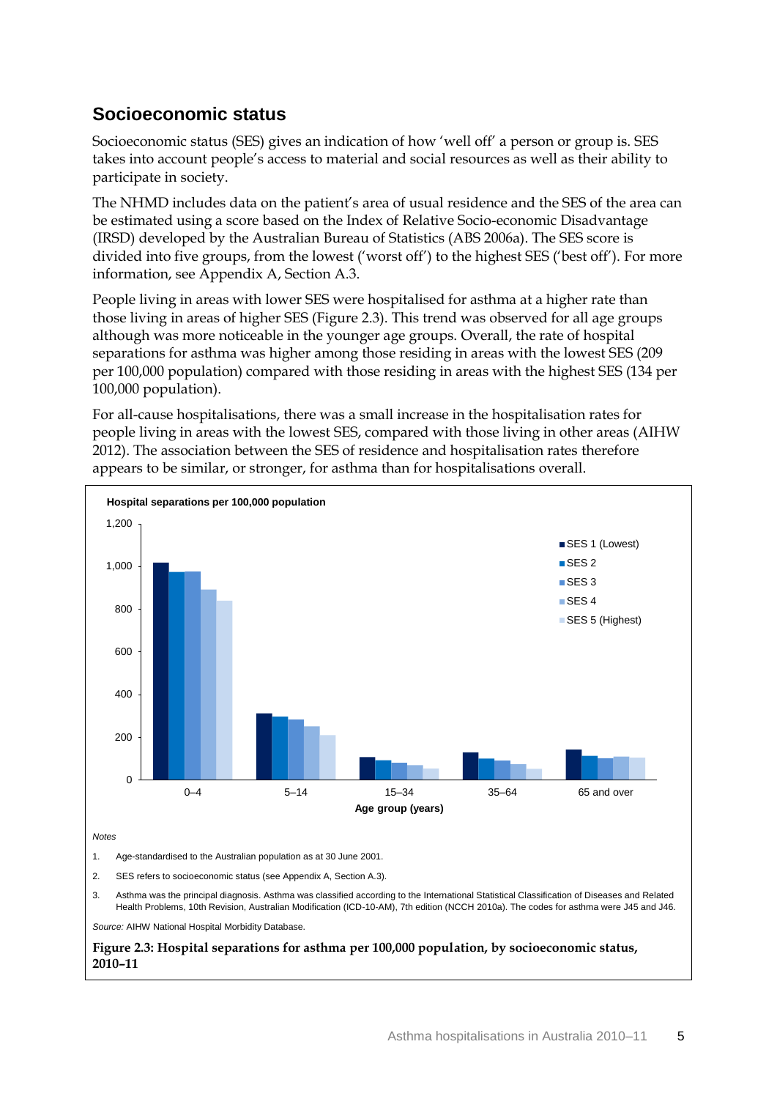### **Socioeconomic status**

Socioeconomic status (SES) gives an indication of how 'well off' a person or group is. SES takes into account people's access to material and social resources as well as their ability to participate in society.

The NHMD includes data on the patient's area of usual residence and the SES of the area can be estimated using a score based on the Index of Relative Socio-economic Disadvantage (IRSD) developed by the Australian Bureau of Statistics (ABS 2006a). The SES score is divided into five groups, from the lowest ('worst off') to the highest SES ('best off'). For more information, see Appendix A, Section A.3.

People living in areas with lower SES were hospitalised for asthma at a higher rate than those living in areas of higher SES (Figure 2.3). This trend was observed for all age groups although was more noticeable in the younger age groups. Overall, the rate of hospital separations for asthma was higher among those residing in areas with the lowest SES (209 per 100,000 population) compared with those residing in areas with the highest SES (134 per 100,000 population).

For all-cause hospitalisations, there was a small increase in the hospitalisation rates for people living in areas with the lowest SES, compared with those living in other areas (AIHW 2012). The association between the SES of residence and hospitalisation rates therefore appears to be similar, or stronger, for asthma than for hospitalisations overall.

<span id="page-11-0"></span>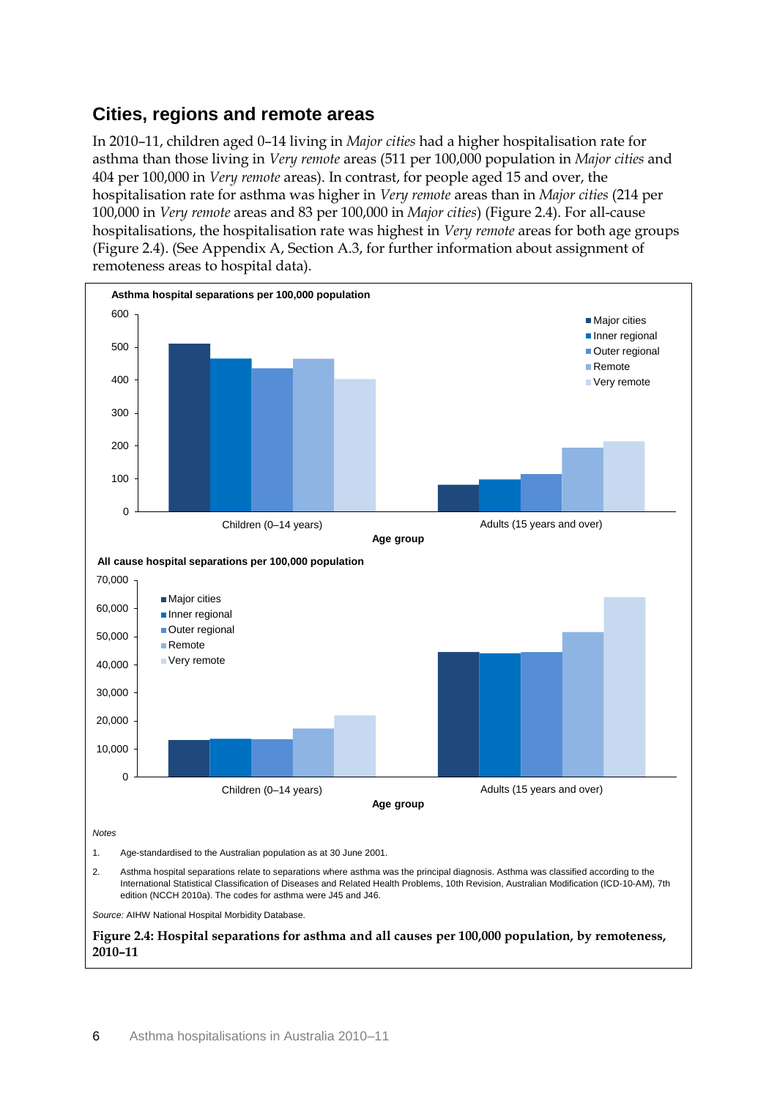### **Cities, regions and remote areas**

In 2010–11, children aged 0–14 living in *Major cities* had a higher hospitalisation rate for asthma than those living in *Very remote* areas (511 per 100,000 population in *Major cities* and 404 per 100,000 in *Very remote* areas). In contrast, for people aged 15 and over, the hospitalisation rate for asthma was higher in *Very remote* areas than in *Major cities* (214 per 100,000 in *Very remote* areas and 83 per 100,000 in *Major cities*) (Figure 2.4). For all-cause hospitalisations, the hospitalisation rate was highest in *Very remote* areas for both age groups (Figure 2.4). (See Appendix A, Section A.3, for further information about assignment of remoteness areas to hospital data).

<span id="page-12-0"></span>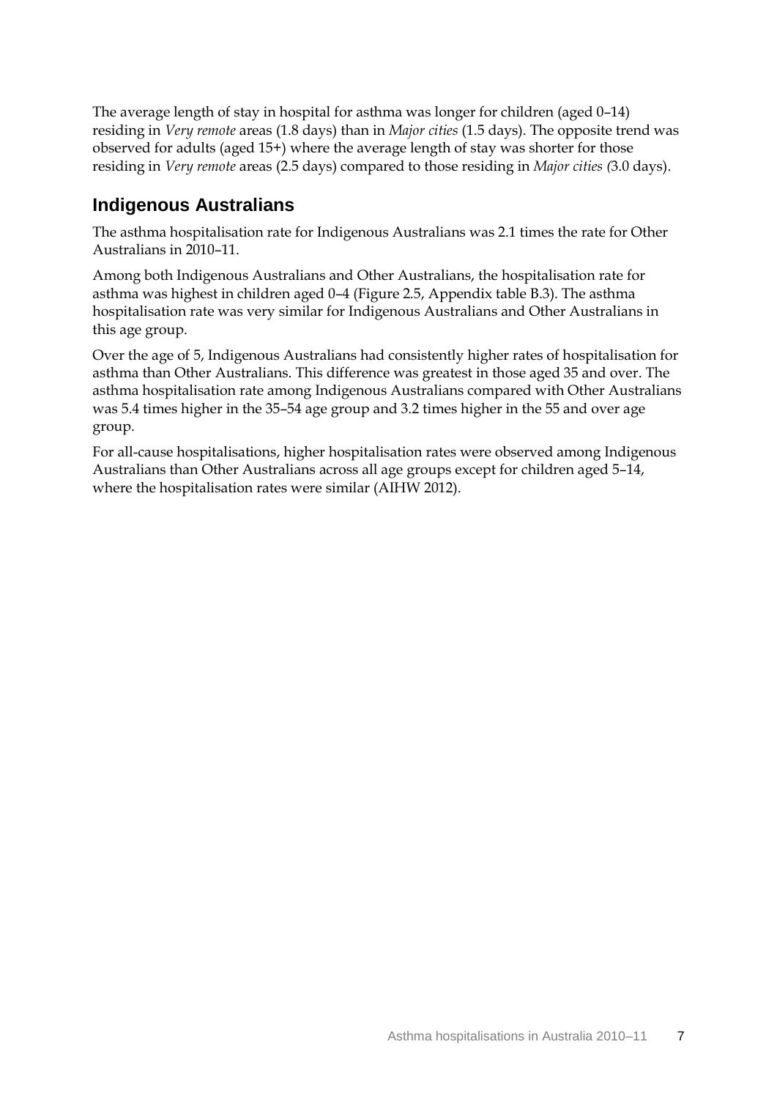The average length of stay in hospital for asthma was longer for children (aged 0–14) residing in *Very remote* areas (1.8 days) than in *Major cities* (1.5 days). The opposite trend was observed for adults (aged 15+) where the average length of stay was shorter for those residing in *Very remote* areas (2.5 days) compared to those residing in *Major cities (*3.0 days).

### **Indigenous Australians**

The asthma hospitalisation rate for Indigenous Australians was 2.1 times the rate for Other Australians in 2010–11.

Among both Indigenous Australians and Other Australians, the hospitalisation rate for asthma was highest in children aged 0–4 (Figure 2.5, Appendix table B.3). The asthma hospitalisation rate was very similar for Indigenous Australians and Other Australians in this age group.

Over the age of 5, Indigenous Australians had consistently higher rates of hospitalisation for asthma than Other Australians. This difference was greatest in those aged 35 and over. The asthma hospitalisation rate among Indigenous Australians compared with Other Australians was 5.4 times higher in the 35–54 age group and 3.2 times higher in the 55 and over age group.

For all-cause hospitalisations, higher hospitalisation rates were observed among Indigenous Australians than Other Australians across all age groups except for children aged 5–14, where the hospitalisation rates were similar (AIHW 2012).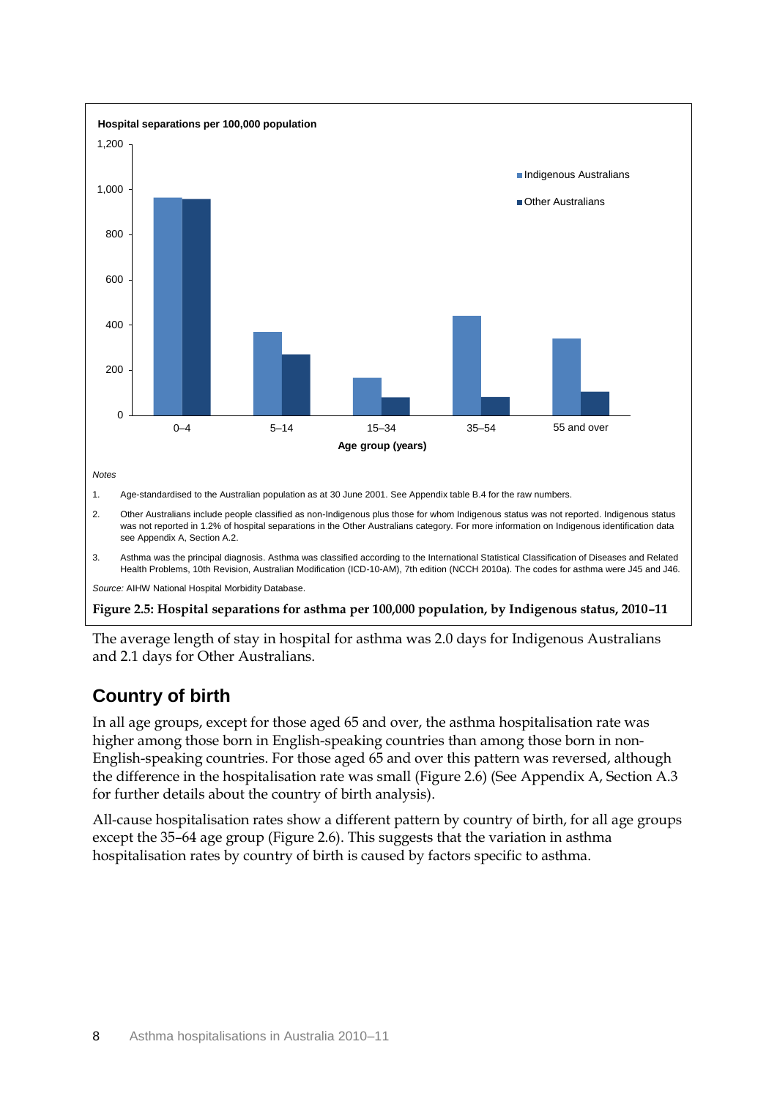

<span id="page-14-0"></span>The average length of stay in hospital for asthma was 2.0 days for Indigenous Australians and 2.1 days for Other Australians.

### **Country of birth**

In all age groups, except for those aged 65 and over, the asthma hospitalisation rate was higher among those born in English-speaking countries than among those born in non-English-speaking countries. For those aged 65 and over this pattern was reversed, although the difference in the hospitalisation rate was small (Figure 2.6) (See Appendix A, Section A.3 for further details about the country of birth analysis).

All-cause hospitalisation rates show a different pattern by country of birth, for all age groups except the 35–64 age group (Figure 2.6). This suggests that the variation in asthma hospitalisation rates by country of birth is caused by factors specific to asthma.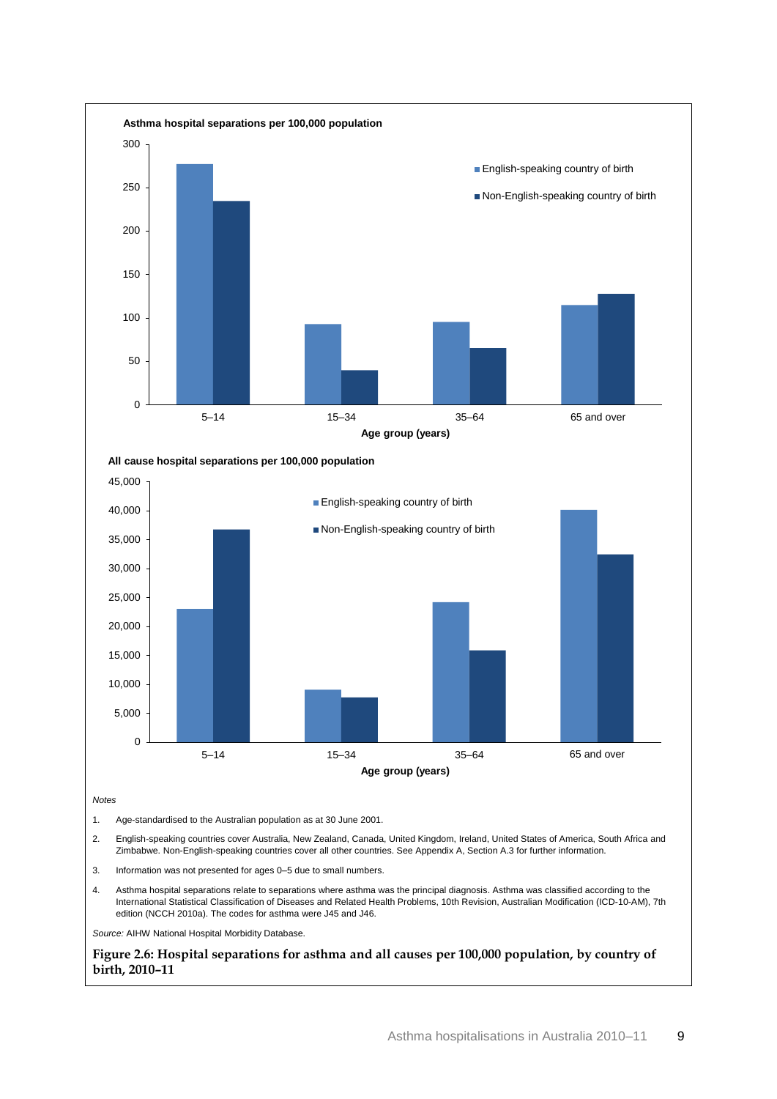

**All cause hospital separations per 100,000 population**



*Notes*

1. Age-standardised to the Australian population as at 30 June 2001.

- 2. English-speaking countries cover Australia, New Zealand, Canada, United Kingdom, Ireland, United States of America, South Africa and Zimbabwe. Non-English-speaking countries cover all other countries. See Appendix A, Section A.3 for further information.
- 3. Information was not presented for ages 0–5 due to small numbers.
- 4. Asthma hospital separations relate to separations where asthma was the principal diagnosis. Asthma was classified according to the International Statistical Classification of Diseases and Related Health Problems, 10th Revision, Australian Modification (ICD-10-AM), 7th edition (NCCH 2010a). The codes for asthma were J45 and J46.

*Source:* AIHW National Hospital Morbidity Database.

<span id="page-15-0"></span>**Figure 2.6: Hospital separations for asthma and all causes per 100,000 population, by country of birth, 2010–11**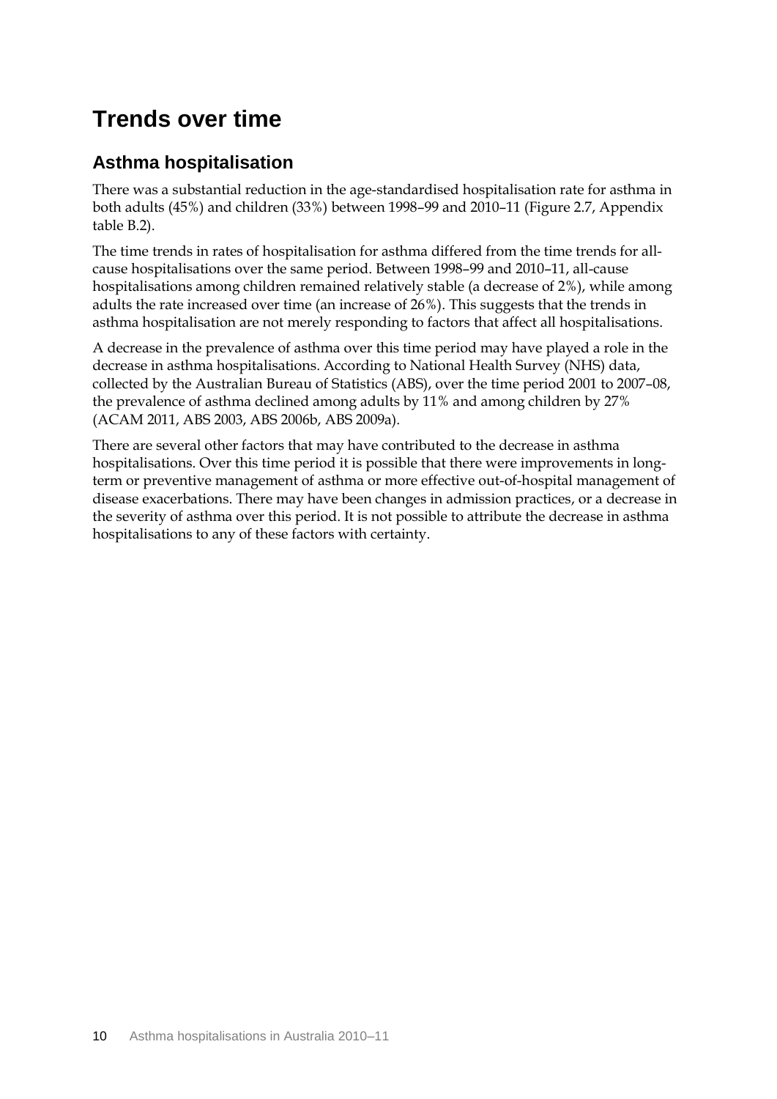## <span id="page-16-0"></span>**Trends over time**

### **Asthma hospitalisation**

There was a substantial reduction in the age-standardised hospitalisation rate for asthma in both adults (45%) and children (33%) between 1998–99 and 2010–11 (Figure 2.7, Appendix table B.2).

The time trends in rates of hospitalisation for asthma differed from the time trends for allcause hospitalisations over the same period. Between 1998–99 and 2010–11, all-cause hospitalisations among children remained relatively stable (a decrease of 2%), while among adults the rate increased over time (an increase of 26%). This suggests that the trends in asthma hospitalisation are not merely responding to factors that affect all hospitalisations.

A decrease in the prevalence of asthma over this time period may have played a role in the decrease in asthma hospitalisations. According to National Health Survey (NHS) data, collected by the Australian Bureau of Statistics (ABS), over the time period 2001 to 2007–08, the prevalence of asthma declined among adults by 11% and among children by 27% (ACAM 2011, ABS 2003, ABS 2006b, ABS 2009a).

There are several other factors that may have contributed to the decrease in asthma hospitalisations. Over this time period it is possible that there were improvements in longterm or preventive management of asthma or more effective out-of-hospital management of disease exacerbations. There may have been changes in admission practices, or a decrease in the severity of asthma over this period. It is not possible to attribute the decrease in asthma hospitalisations to any of these factors with certainty.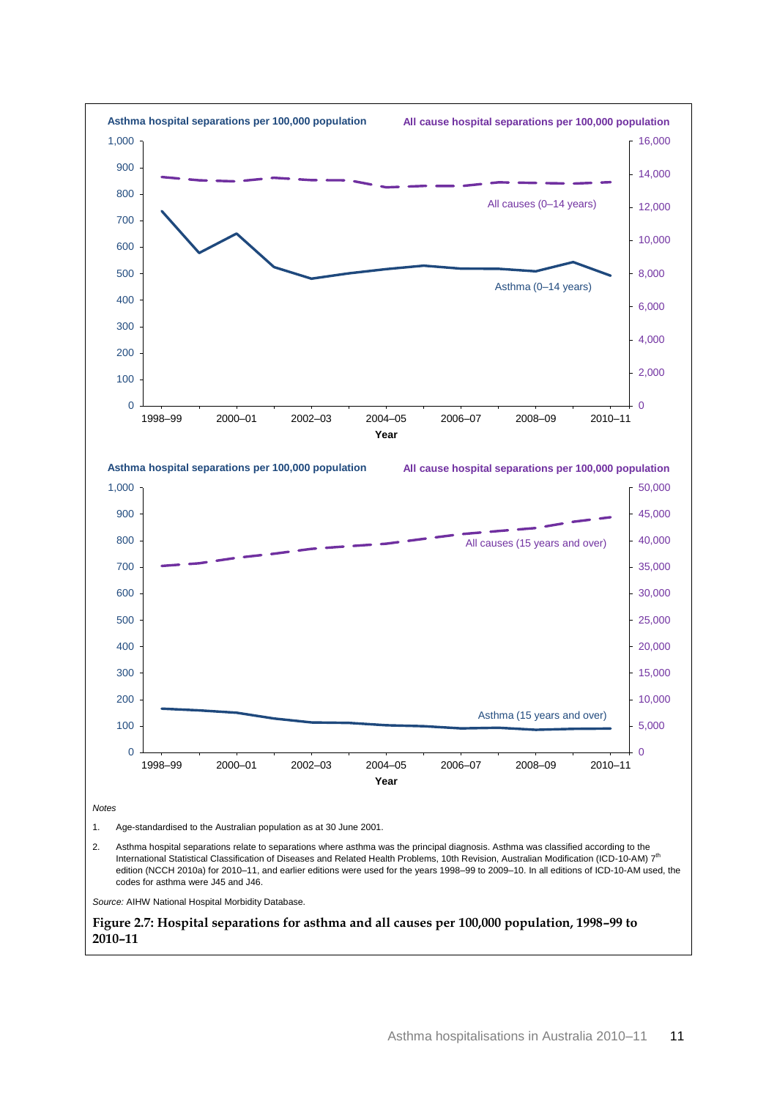<span id="page-17-0"></span>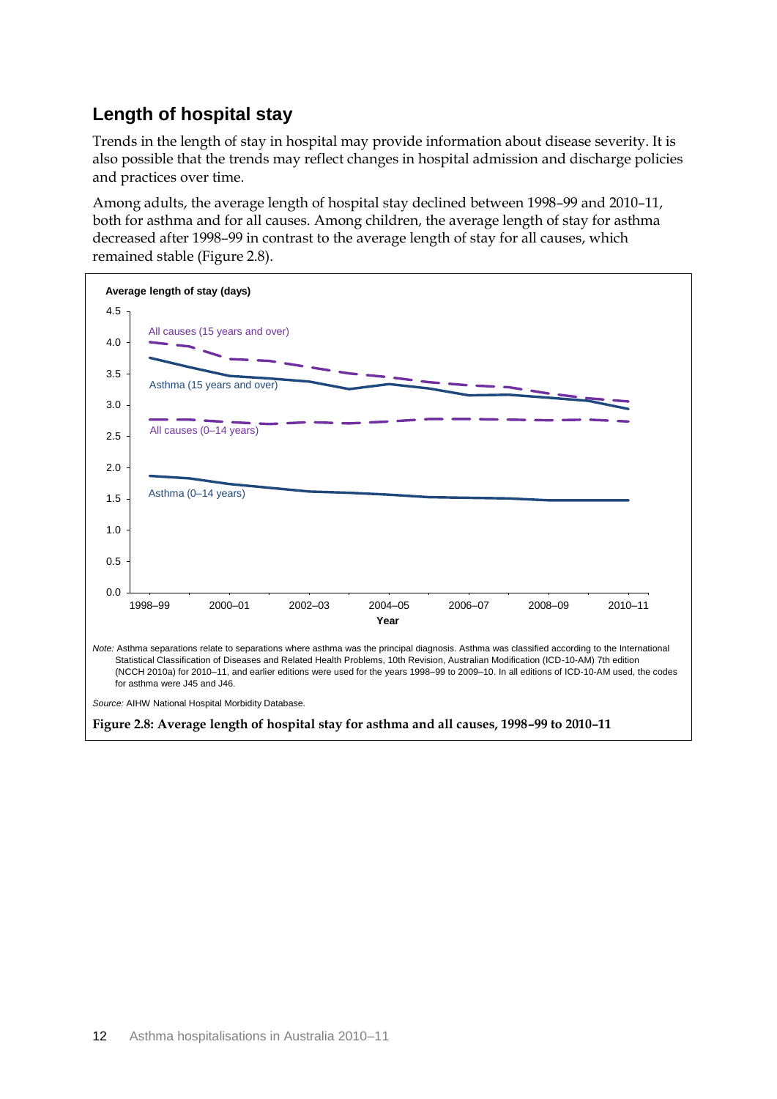### **Length of hospital stay**

Trends in the length of stay in hospital may provide information about disease severity. It is also possible that the trends may reflect changes in hospital admission and discharge policies and practices over time.

Among adults, the average length of hospital stay declined between 1998–99 and 2010–11, both for asthma and for all causes. Among children, the average length of stay for asthma decreased after 1998–99 in contrast to the average length of stay for all causes, which remained stable (Figure 2.8).

<span id="page-18-0"></span>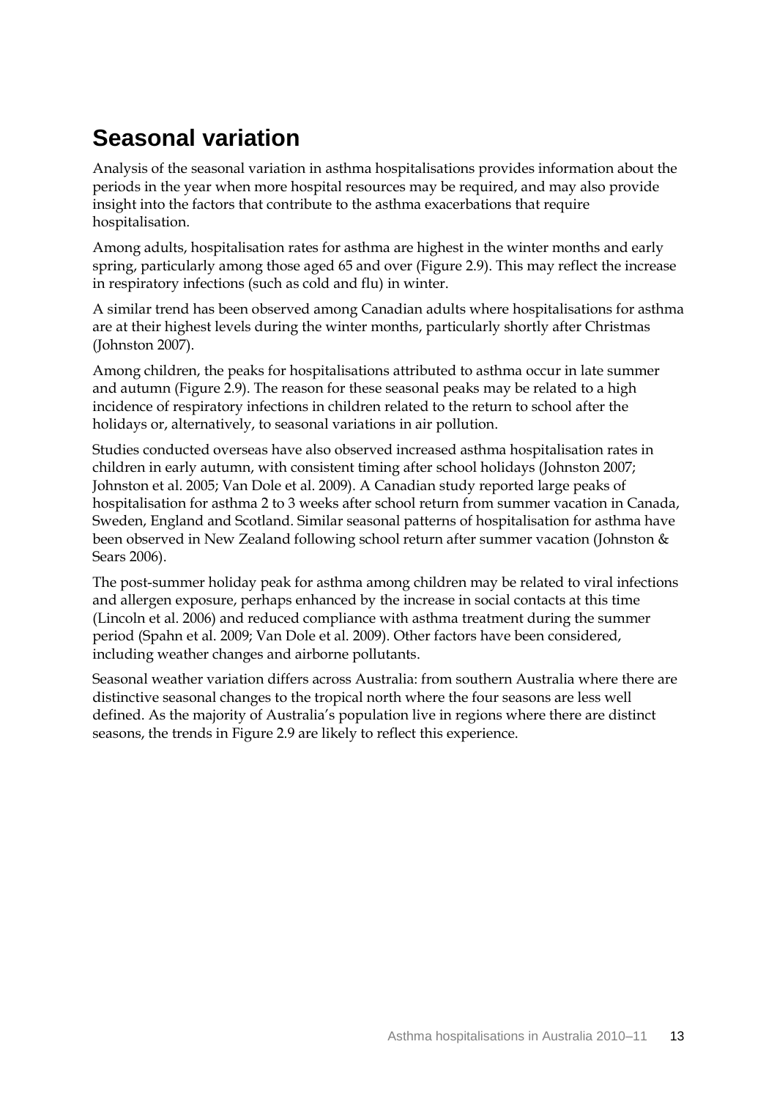## <span id="page-19-0"></span>**Seasonal variation**

Analysis of the seasonal variation in asthma hospitalisations provides information about the periods in the year when more hospital resources may be required, and may also provide insight into the factors that contribute to the asthma exacerbations that require hospitalisation.

Among adults, hospitalisation rates for asthma are highest in the winter months and early spring, particularly among those aged 65 and over (Figure 2.9). This may reflect the increase in respiratory infections (such as cold and flu) in winter.

A similar trend has been observed among Canadian adults where hospitalisations for asthma are at their highest levels during the winter months, particularly shortly after Christmas (Johnston 2007).

Among children, the peaks for hospitalisations attributed to asthma occur in late summer and autumn (Figure 2.9). The reason for these seasonal peaks may be related to a high incidence of respiratory infections in children related to the return to school after the holidays or, alternatively, to seasonal variations in air pollution.

Studies conducted overseas have also observed increased asthma hospitalisation rates in children in early autumn, with consistent timing after school holidays (Johnston 2007; Johnston et al. 2005; Van Dole et al. 2009). A Canadian study reported large peaks of hospitalisation for asthma 2 to 3 weeks after school return from summer vacation in Canada, Sweden, England and Scotland. Similar seasonal patterns of hospitalisation for asthma have been observed in New Zealand following school return after summer vacation (Johnston & Sears 2006).

The post-summer holiday peak for asthma among children may be related to viral infections and allergen exposure, perhaps enhanced by the increase in social contacts at this time (Lincoln et al. 2006) and reduced compliance with asthma treatment during the summer period (Spahn et al. 2009; Van Dole et al. 2009). Other factors have been considered, including weather changes and airborne pollutants.

Seasonal weather variation differs across Australia: from southern Australia where there are distinctive seasonal changes to the tropical north where the four seasons are less well defined. As the majority of Australia's population live in regions where there are distinct seasons, the trends in Figure 2.9 are likely to reflect this experience.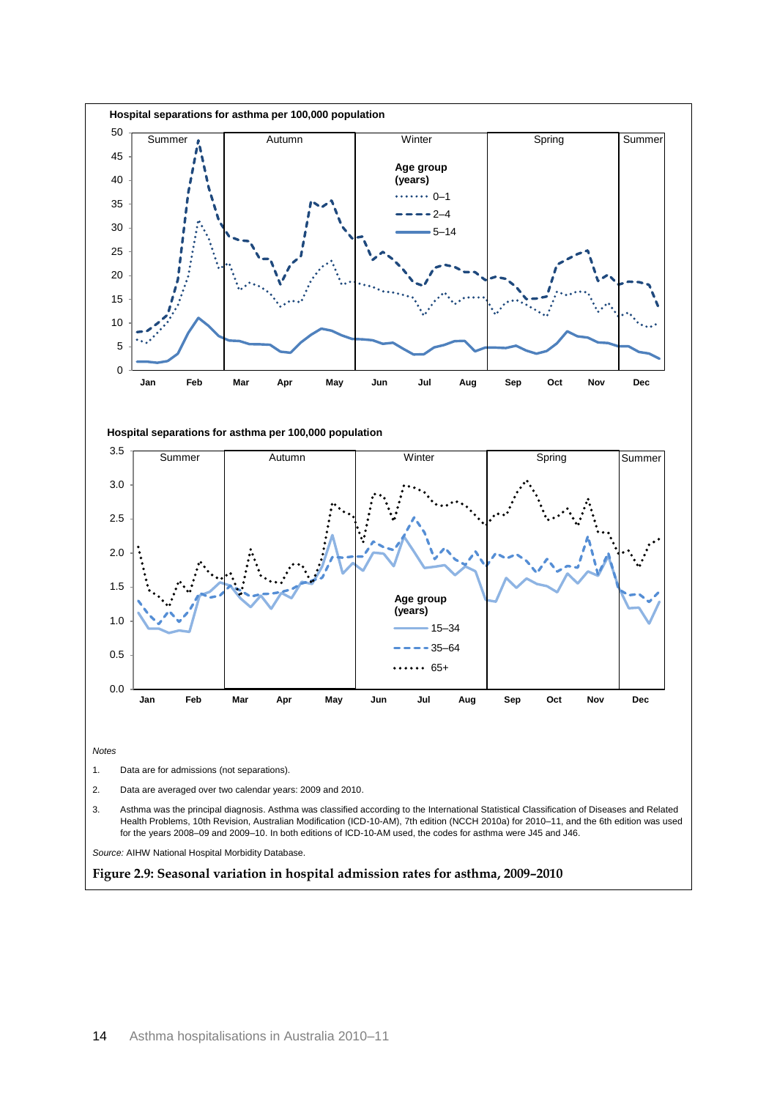<span id="page-20-0"></span>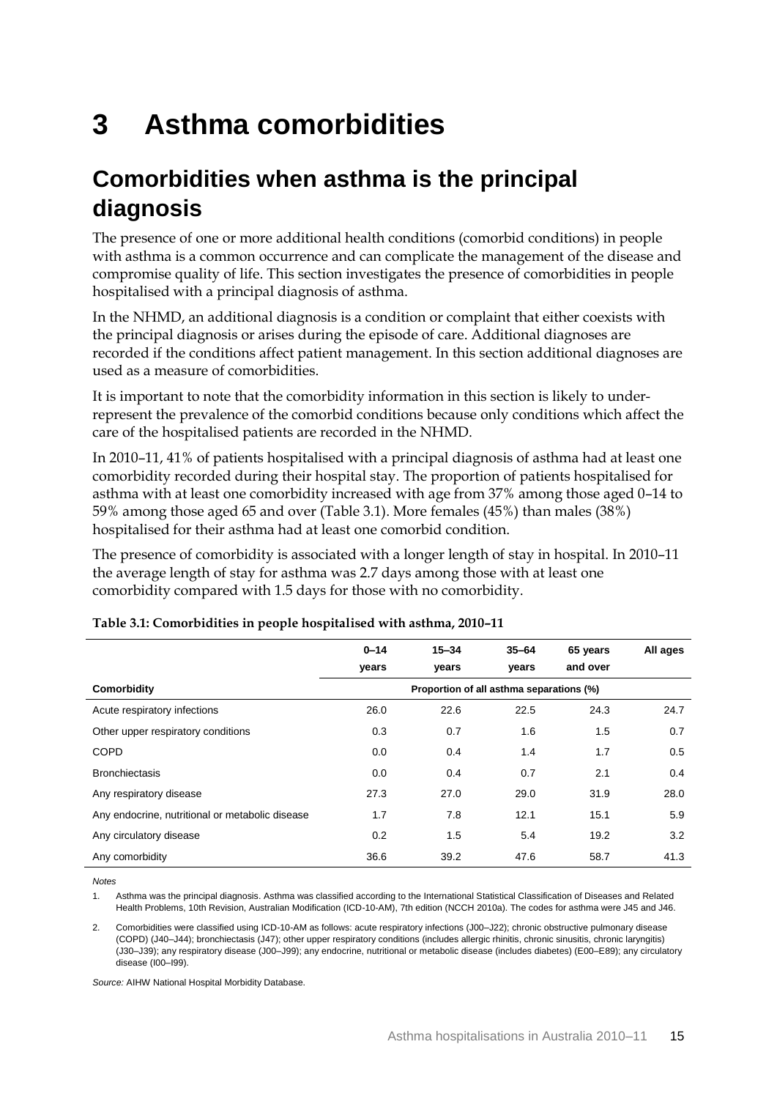# <span id="page-21-0"></span>**3 Asthma comorbidities**

## <span id="page-21-1"></span>**Comorbidities when asthma is the principal diagnosis**

The presence of one or more additional health conditions (comorbid conditions) in people with asthma is a common occurrence and can complicate the management of the disease and compromise quality of life. This section investigates the presence of comorbidities in people hospitalised with a principal diagnosis of asthma.

In the NHMD, an additional diagnosis is a condition or complaint that either coexists with the principal diagnosis or arises during the episode of care. Additional diagnoses are recorded if the conditions affect patient management. In this section additional diagnoses are used as a measure of comorbidities.

It is important to note that the comorbidity information in this section is likely to underrepresent the prevalence of the comorbid conditions because only conditions which affect the care of the hospitalised patients are recorded in the NHMD.

In 2010–11, 41% of patients hospitalised with a principal diagnosis of asthma had at least one comorbidity recorded during their hospital stay. The proportion of patients hospitalised for asthma with at least one comorbidity increased with age from 37% among those aged 0–14 to 59% among those aged 65 and over (Table 3.1). More females (45%) than males (38%) hospitalised for their asthma had at least one comorbid condition.

The presence of comorbidity is associated with a longer length of stay in hospital. In 2010–11 the average length of stay for asthma was 2.7 days among those with at least one comorbidity compared with 1.5 days for those with no comorbidity.

|                                                 | $0 - 14$ | $15 - 34$                                | $35 - 64$ | 65 years | All ages |
|-------------------------------------------------|----------|------------------------------------------|-----------|----------|----------|
|                                                 | years    | vears                                    | vears     | and over |          |
| Comorbidity                                     |          | Proportion of all asthma separations (%) |           |          |          |
| Acute respiratory infections                    | 26.0     | 22.6                                     | 22.5      | 24.3     | 24.7     |
| Other upper respiratory conditions              | 0.3      | 0.7                                      | 1.6       | 1.5      | 0.7      |
| <b>COPD</b>                                     | 0.0      | 0.4                                      | 1.4       | 1.7      | 0.5      |
| <b>Bronchiectasis</b>                           | 0.0      | 0.4                                      | 0.7       | 2.1      | 0.4      |
| Any respiratory disease                         | 27.3     | 27.0                                     | 29.0      | 31.9     | 28.0     |
| Any endocrine, nutritional or metabolic disease | 1.7      | 7.8                                      | 12.1      | 15.1     | 5.9      |
| Any circulatory disease                         | 0.2      | 1.5                                      | 5.4       | 19.2     | 3.2      |
| Any comorbidity                                 | 36.6     | 39.2                                     | 47.6      | 58.7     | 41.3     |

#### <span id="page-21-2"></span>**Table 3.1: Comorbidities in people hospitalised with asthma, 2010–11**

*Notes*

1. Asthma was the principal diagnosis. Asthma was classified according to the International Statistical Classification of Diseases and Related Health Problems, 10th Revision, Australian Modification (ICD-10-AM), 7th edition (NCCH 2010a). The codes for asthma were J45 and J46.

2. Comorbidities were classified using ICD-10-AM as follows: acute respiratory infections (J00–J22); chronic obstructive pulmonary disease (COPD) (J40–J44); bronchiectasis (J47); other upper respiratory conditions (includes allergic rhinitis, chronic sinusitis, chronic laryngitis) (J30–J39); any respiratory disease (J00–J99); any endocrine, nutritional or metabolic disease (includes diabetes) (E00–E89); any circulatory disease (I00–I99).

*Source:* AIHW National Hospital Morbidity Database.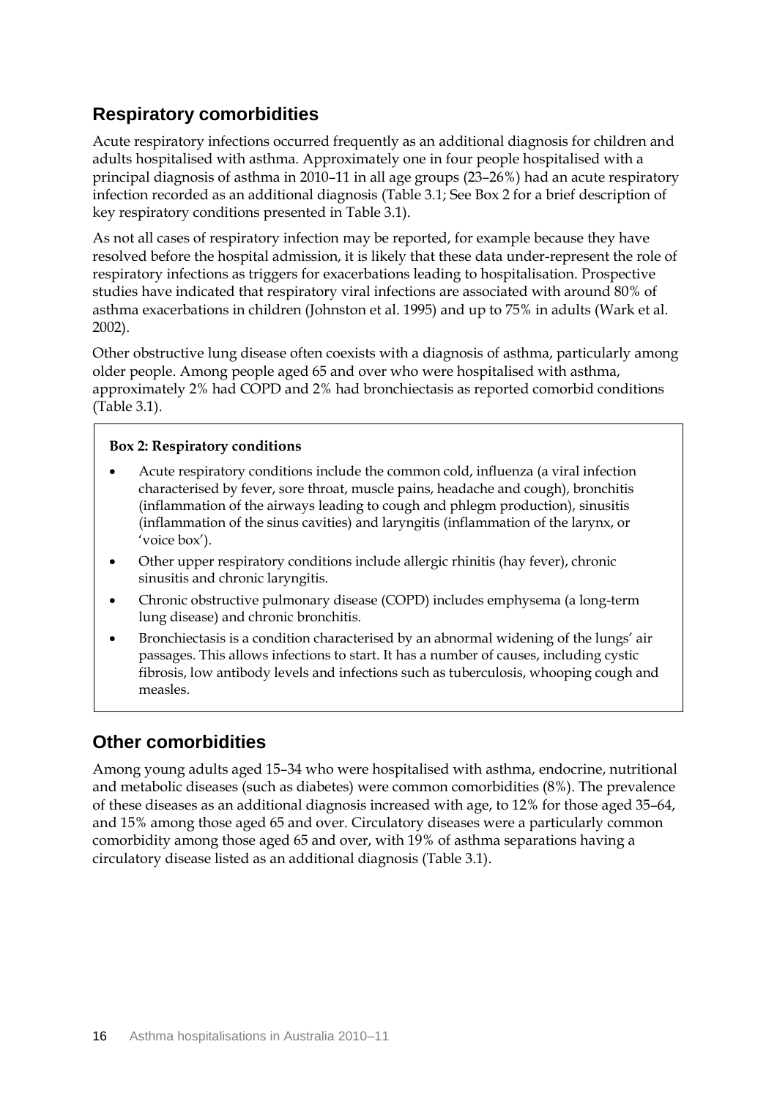### **Respiratory comorbidities**

Acute respiratory infections occurred frequently as an additional diagnosis for children and adults hospitalised with asthma. Approximately one in four people hospitalised with a principal diagnosis of asthma in 2010–11 in all age groups (23–26%) had an acute respiratory infection recorded as an additional diagnosis (Table 3.1; See Box 2 for a brief description of key respiratory conditions presented in Table 3.1).

As not all cases of respiratory infection may be reported, for example because they have resolved before the hospital admission, it is likely that these data under-represent the role of respiratory infections as triggers for exacerbations leading to hospitalisation. Prospective studies have indicated that respiratory viral infections are associated with around 80% of asthma exacerbations in children (Johnston et al. 1995) and up to 75% in adults (Wark et al. 2002).

Other obstructive lung disease often coexists with a diagnosis of asthma, particularly among older people. Among people aged 65 and over who were hospitalised with asthma, approximately 2% had COPD and 2% had bronchiectasis as reported comorbid conditions (Table 3.1).

### **Box 2: Respiratory conditions**

- Acute respiratory conditions include the common cold, influenza (a viral infection characterised by fever, sore throat, muscle pains, headache and cough), bronchitis (inflammation of the airways leading to cough and phlegm production), sinusitis (inflammation of the sinus cavities) and laryngitis (inflammation of the larynx, or 'voice box').
- Other upper respiratory conditions include allergic rhinitis (hay fever), chronic sinusitis and chronic laryngitis.
- Chronic obstructive pulmonary disease (COPD) includes emphysema (a long-term lung disease) and chronic bronchitis.
- Bronchiectasis is a condition characterised by an abnormal widening of the lungs' air passages. This allows infections to start. It has a number of causes, including cystic fibrosis, low antibody levels and infections such as tuberculosis, whooping cough and measles.

### **Other comorbidities**

Among young adults aged 15–34 who were hospitalised with asthma, endocrine, nutritional and metabolic diseases (such as diabetes) were common comorbidities (8%). The prevalence of these diseases as an additional diagnosis increased with age, to 12% for those aged 35–64, and 15% among those aged 65 and over. Circulatory diseases were a particularly common comorbidity among those aged 65 and over, with 19% of asthma separations having a circulatory disease listed as an additional diagnosis (Table 3.1).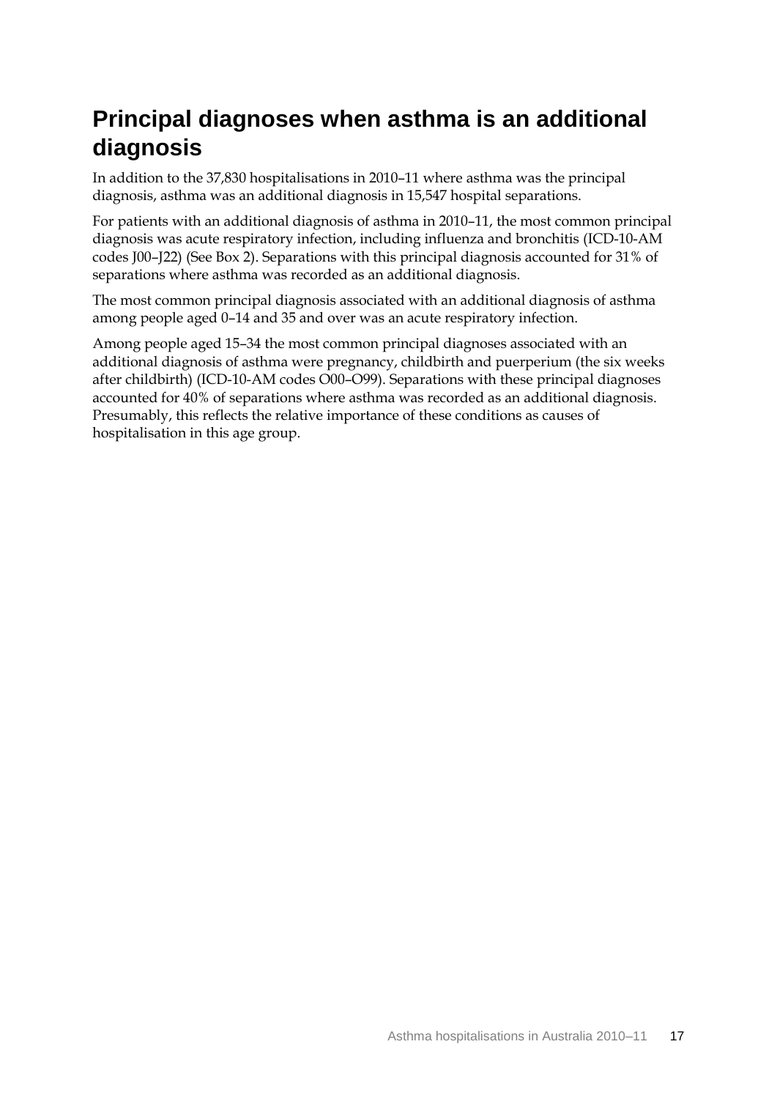## <span id="page-23-0"></span>**Principal diagnoses when asthma is an additional diagnosis**

In addition to the 37,830 hospitalisations in 2010–11 where asthma was the principal diagnosis, asthma was an additional diagnosis in 15,547 hospital separations.

For patients with an additional diagnosis of asthma in 2010–11, the most common principal diagnosis was acute respiratory infection, including influenza and bronchitis (ICD-10-AM codes J00–J22) (See Box 2). Separations with this principal diagnosis accounted for 31% of separations where asthma was recorded as an additional diagnosis.

The most common principal diagnosis associated with an additional diagnosis of asthma among people aged 0–14 and 35 and over was an acute respiratory infection.

Among people aged 15–34 the most common principal diagnoses associated with an additional diagnosis of asthma were pregnancy, childbirth and puerperium (the six weeks after childbirth) (ICD-10-AM codes O00–O99). Separations with these principal diagnoses accounted for 40% of separations where asthma was recorded as an additional diagnosis. Presumably, this reflects the relative importance of these conditions as causes of hospitalisation in this age group.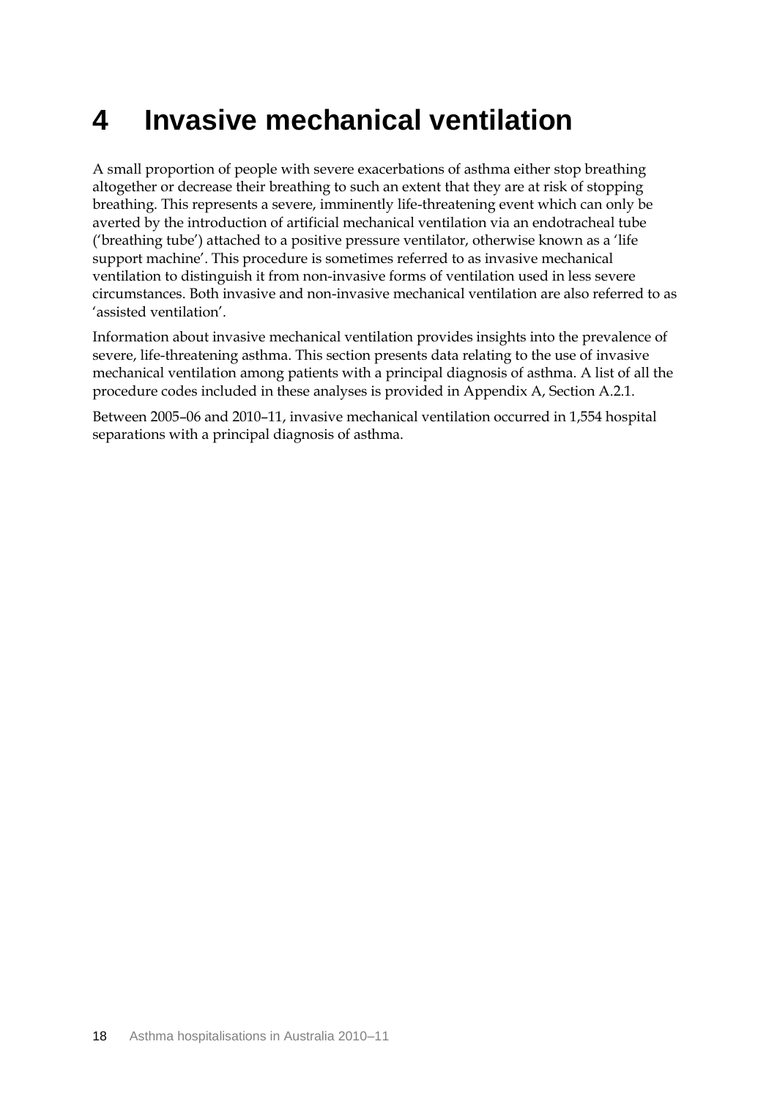## <span id="page-24-0"></span>**4 Invasive mechanical ventilation**

A small proportion of people with severe exacerbations of asthma either stop breathing altogether or decrease their breathing to such an extent that they are at risk of stopping breathing. This represents a severe, imminently life-threatening event which can only be averted by the introduction of artificial mechanical ventilation via an endotracheal tube ('breathing tube') attached to a positive pressure ventilator, otherwise known as a 'life support machine'. This procedure is sometimes referred to as invasive mechanical ventilation to distinguish it from non-invasive forms of ventilation used in less severe circumstances. Both invasive and non-invasive mechanical ventilation are also referred to as 'assisted ventilation'.

Information about invasive mechanical ventilation provides insights into the prevalence of severe, life-threatening asthma. This section presents data relating to the use of invasive mechanical ventilation among patients with a principal diagnosis of asthma. A list of all the procedure codes included in these analyses is provided in Appendix A, Section A.2.1.

Between 2005–06 and 2010–11, invasive mechanical ventilation occurred in 1,554 hospital separations with a principal diagnosis of asthma.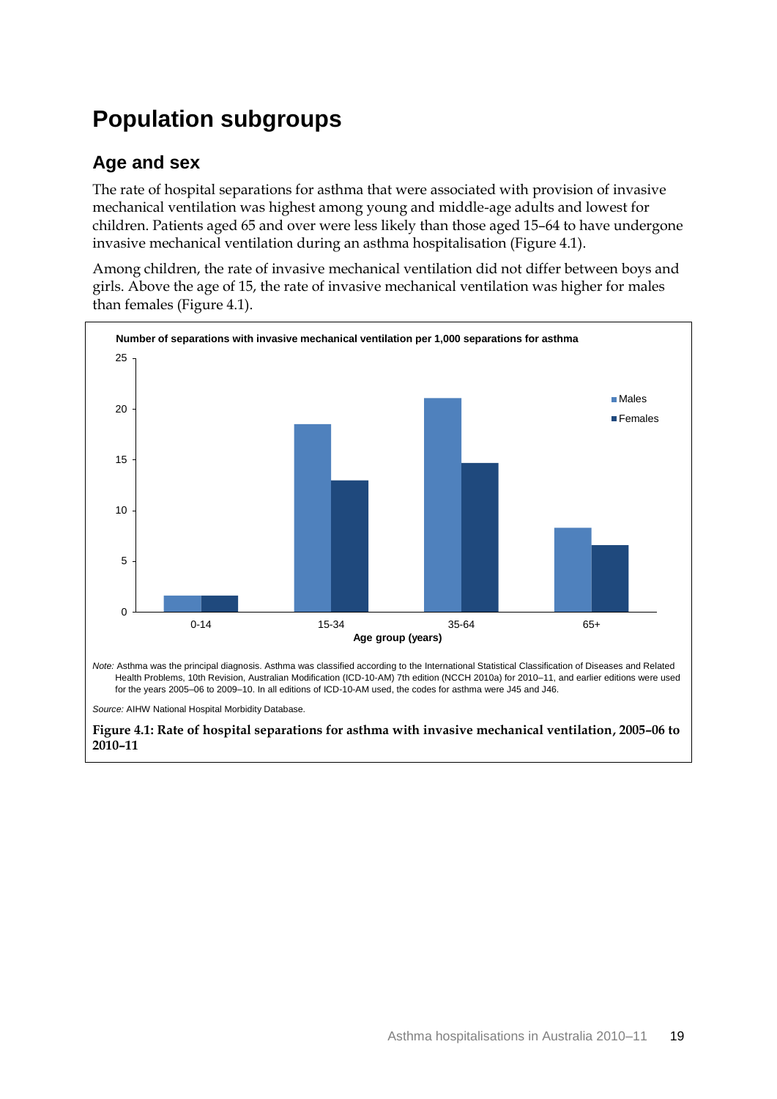## <span id="page-25-0"></span>**Population subgroups**

### **Age and sex**

The rate of hospital separations for asthma that were associated with provision of invasive mechanical ventilation was highest among young and middle-age adults and lowest for children. Patients aged 65 and over were less likely than those aged 15–64 to have undergone invasive mechanical ventilation during an asthma hospitalisation (Figure 4.1).

Among children, the rate of invasive mechanical ventilation did not differ between boys and girls. Above the age of 15, the rate of invasive mechanical ventilation was higher for males than females (Figure 4.1).



<span id="page-25-1"></span>**Figure 4.1: Rate of hospital separations for asthma with invasive mechanical ventilation, 2005–06 to 2010–11**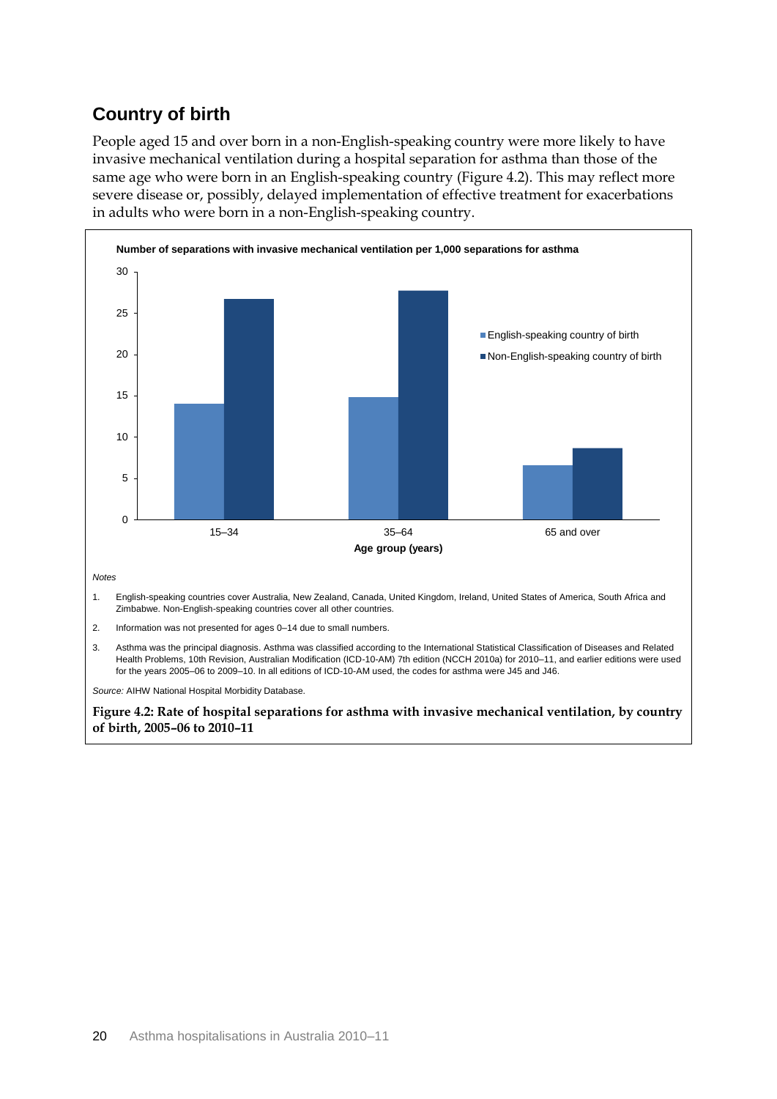### **Country of birth**

People aged 15 and over born in a non-English-speaking country were more likely to have invasive mechanical ventilation during a hospital separation for asthma than those of the same age who were born in an English-speaking country [\(Figure 4](#page-26-0).2). This may reflect more severe disease or, possibly, delayed implementation of effective treatment for exacerbations in adults who were born in a non-English-speaking country.



- 2. Information was not presented for ages 0–14 due to small numbers.
- 3. Asthma was the principal diagnosis. Asthma was classified according to the International Statistical Classification of Diseases and Related Health Problems, 10th Revision, Australian Modification (ICD-10-AM) 7th edition (NCCH 2010a) for 2010–11, and earlier editions were used for the years 2005–06 to 2009–10. In all editions of ICD-10-AM used, the codes for asthma were J45 and J46.

*Source:* AIHW National Hospital Morbidity Database.

<span id="page-26-0"></span>**Figure 4.2: Rate of hospital separations for asthma with invasive mechanical ventilation, by country of birth, 2005–06 to 2010–11**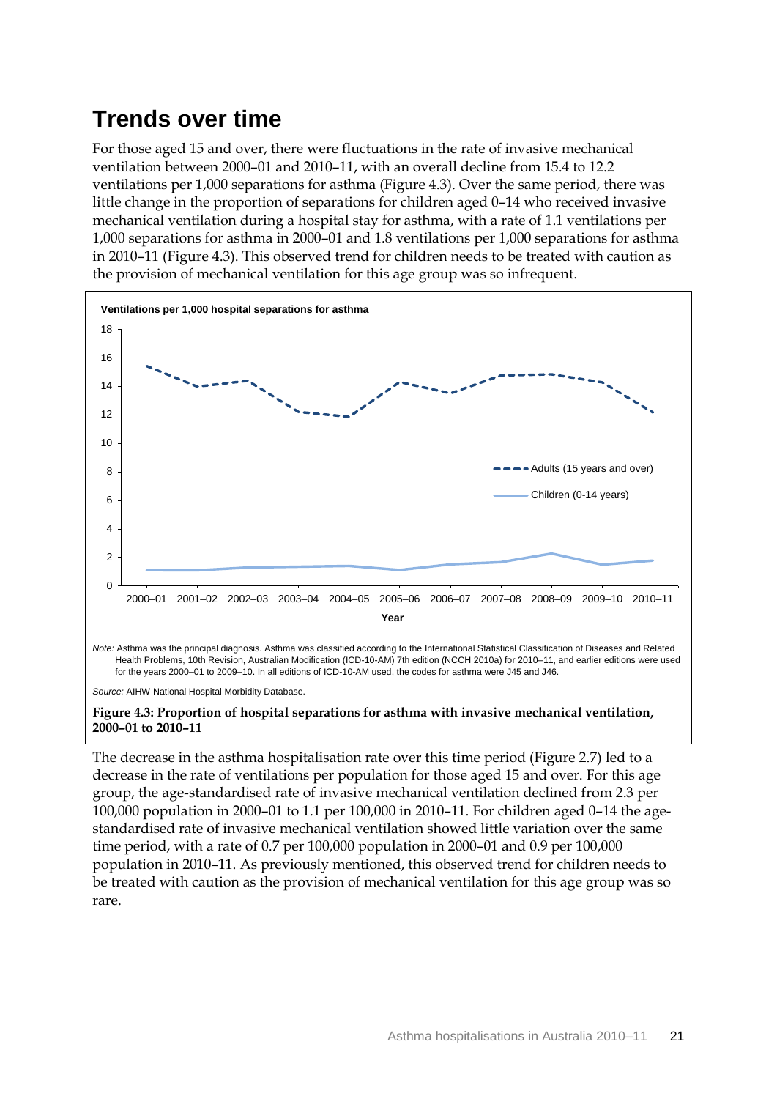## <span id="page-27-0"></span>**Trends over time**

For those aged 15 and over, there were fluctuations in the rate of invasive mechanical ventilation between 2000–01 and 2010–11, with an overall decline from 15.4 to 12.2 ventilations per 1,000 separations for asthma (Figure 4.3). Over the same period, there was little change in the proportion of separations for children aged 0–14 who received invasive mechanical ventilation during a hospital stay for asthma, with a rate of 1.1 ventilations per 1,000 separations for asthma in 2000–01 and 1.8 ventilations per 1,000 separations for asthma in 2010–11 (Figure 4.3). This observed trend for children needs to be treated with caution as the provision of mechanical ventilation for this age group was so infrequent.



 Health Problems, 10th Revision, Australian Modification (ICD-10-AM) 7th edition (NCCH 2010a) for 2010–11, and earlier editions were used for the years 2000–01 to 2009–10. In all editions of ICD-10-AM used, the codes for asthma were J45 and J46.

*Source:* AIHW National Hospital Morbidity Database.

#### <span id="page-27-1"></span>**Figure 4.3: Proportion of hospital separations for asthma with invasive mechanical ventilation, 2000–01 to 2010–11**

The decrease in the asthma hospitalisation rate over this time period (Figure 2.7) led to a decrease in the rate of ventilations per population for those aged 15 and over. For this age group, the age-standardised rate of invasive mechanical ventilation declined from 2.3 per 100,000 population in 2000–01 to 1.1 per 100,000 in 2010–11. For children aged 0–14 the agestandardised rate of invasive mechanical ventilation showed little variation over the same time period, with a rate of 0.7 per 100,000 population in 2000–01 and 0.9 per 100,000 population in 2010–11. As previously mentioned, this observed trend for children needs to be treated with caution as the provision of mechanical ventilation for this age group was so rare.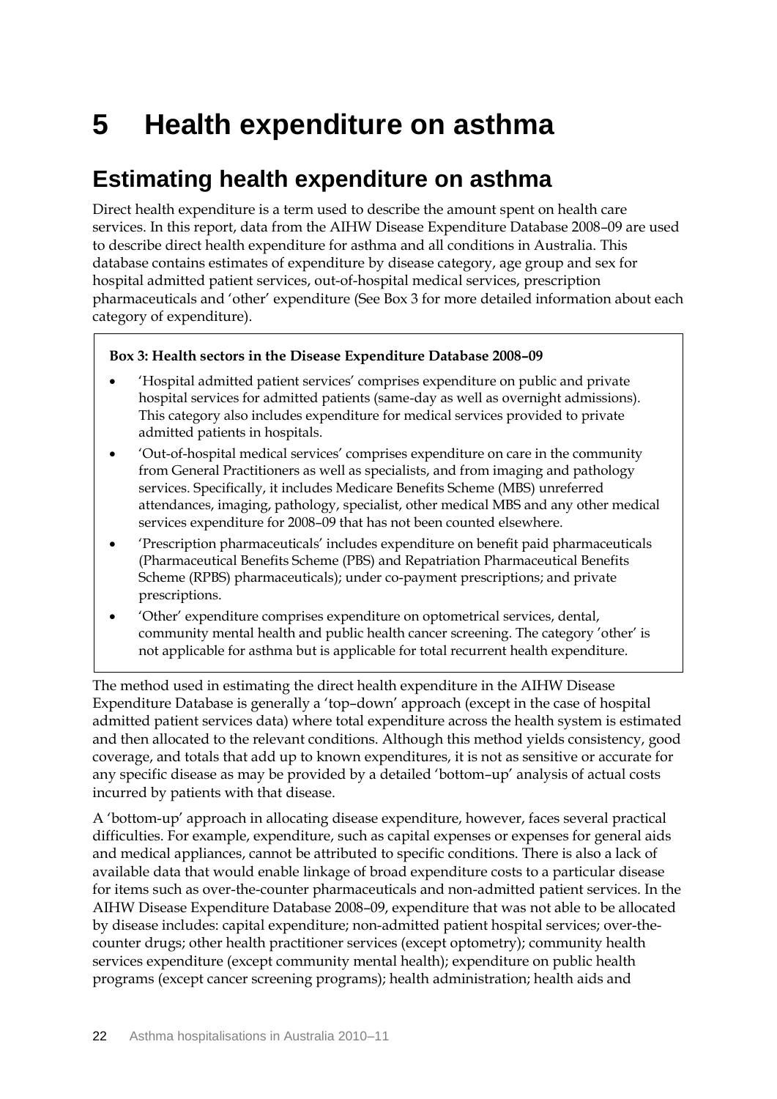## <span id="page-28-0"></span>**5 Health expenditure on asthma**

## <span id="page-28-1"></span>**Estimating health expenditure on asthma**

Direct health expenditure is a term used to describe the amount spent on health care services. In this report, data from the AIHW Disease Expenditure Database 2008–09 are used to describe direct health expenditure for asthma and all conditions in Australia. This database contains estimates of expenditure by disease category, age group and sex for hospital admitted patient services, out-of-hospital medical services, prescription pharmaceuticals and 'other' expenditure (See Box 3 for more detailed information about each category of expenditure).

### **Box 3: Health sectors in the Disease Expenditure Database 2008–09**

- 'Hospital admitted patient services' comprises expenditure on public and private hospital services for admitted patients (same-day as well as overnight admissions). This category also includes expenditure for medical services provided to private admitted patients in hospitals.
- 'Out-of-hospital medical services' comprises expenditure on care in the community from General Practitioners as well as specialists, and from imaging and pathology services. Specifically, it includes Medicare Benefits Scheme (MBS) unreferred attendances, imaging, pathology, specialist, other medical MBS and any other medical services expenditure for 2008–09 that has not been counted elsewhere.
- 'Prescription pharmaceuticals' includes expenditure on benefit paid pharmaceuticals (Pharmaceutical Benefits Scheme (PBS) and Repatriation Pharmaceutical Benefits Scheme (RPBS) pharmaceuticals); under co-payment prescriptions; and private prescriptions.
- 'Other' expenditure comprises expenditure on optometrical services, dental, community mental health and public health cancer screening. The category 'other' is not applicable for asthma but is applicable for total recurrent health expenditure.

The method used in estimating the direct health expenditure in the AIHW Disease Expenditure Database is generally a 'top–down' approach (except in the case of hospital admitted patient services data) where total expenditure across the health system is estimated and then allocated to the relevant conditions. Although this method yields consistency, good coverage, and totals that add up to known expenditures, it is not as sensitive or accurate for any specific disease as may be provided by a detailed 'bottom–up' analysis of actual costs incurred by patients with that disease.

A 'bottom-up' approach in allocating disease expenditure, however, faces several practical difficulties. For example, expenditure, such as capital expenses or expenses for general aids and medical appliances, cannot be attributed to specific conditions. There is also a lack of available data that would enable linkage of broad expenditure costs to a particular disease for items such as over-the-counter pharmaceuticals and non-admitted patient services. In the AIHW Disease Expenditure Database 2008–09, expenditure that was not able to be allocated by disease includes: capital expenditure; non-admitted patient hospital services; over-thecounter drugs; other health practitioner services (except optometry); community health services expenditure (except community mental health); expenditure on public health programs (except cancer screening programs); health administration; health aids and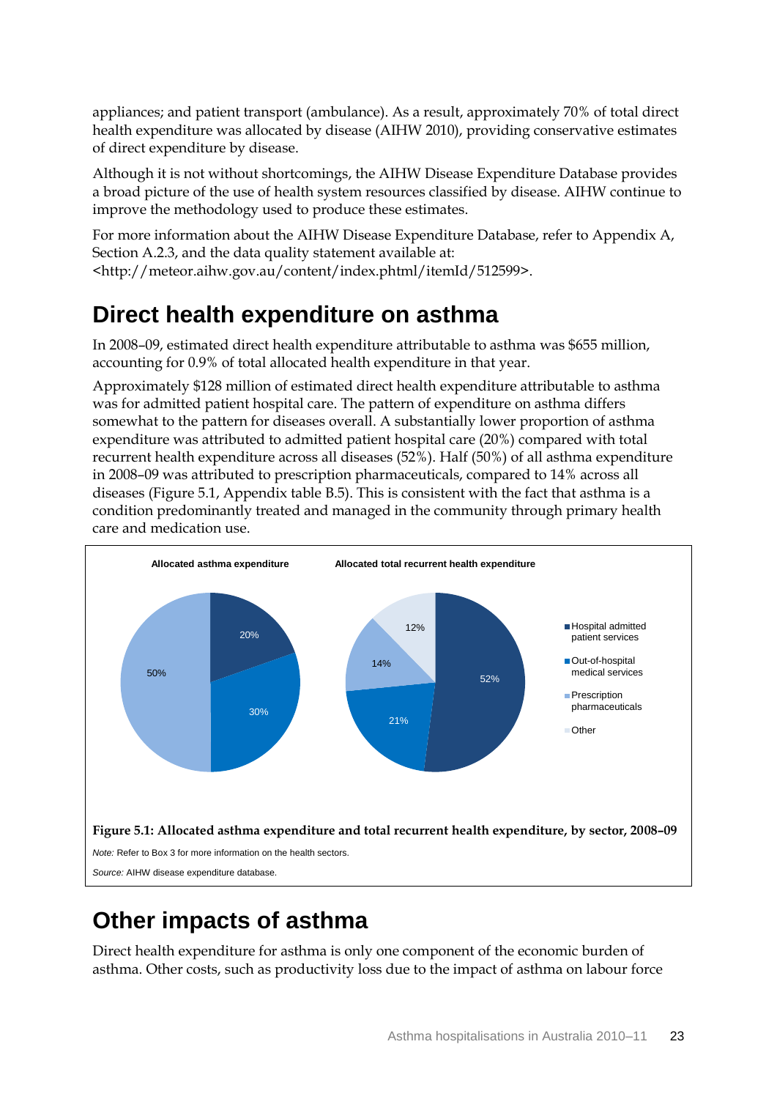appliances; and patient transport (ambulance). As a result, approximately 70% of total direct health expenditure was allocated by disease (AIHW 2010), providing conservative estimates of direct expenditure by disease.

Although it is not without shortcomings, the AIHW Disease Expenditure Database provides a broad picture of the use of health system resources classified by disease. AIHW continue to improve the methodology used to produce these estimates.

For more information about the AIHW Disease Expenditure Database, refer to Appendix A, Section A.2.3, and the data quality statement available at: <http://meteor.aihw.gov.au/content/index.phtml/itemId/512599>.

### <span id="page-29-0"></span>**Direct health expenditure on asthma**

In 2008–09, estimated direct health expenditure attributable to asthma was \$655 million, accounting for 0.9% of total allocated health expenditure in that year.

Approximately \$128 million of estimated direct health expenditure attributable to asthma was for admitted patient hospital care. The pattern of expenditure on asthma differs somewhat to the pattern for diseases overall. A substantially lower proportion of asthma expenditure was attributed to admitted patient hospital care (20%) compared with total recurrent health expenditure across all diseases (52%). Half (50%) of all asthma expenditure in 2008–09 was attributed to prescription pharmaceuticals, compared to 14% across all diseases (Figure 5.1, Appendix table B.5). This is consistent with the fact that asthma is a condition predominantly treated and managed in the community through primary health care and medication use.



### <span id="page-29-2"></span><span id="page-29-1"></span>**Other impacts of asthma**

Direct health expenditure for asthma is only one component of the economic burden of asthma. Other costs, such as productivity loss due to the impact of asthma on labour force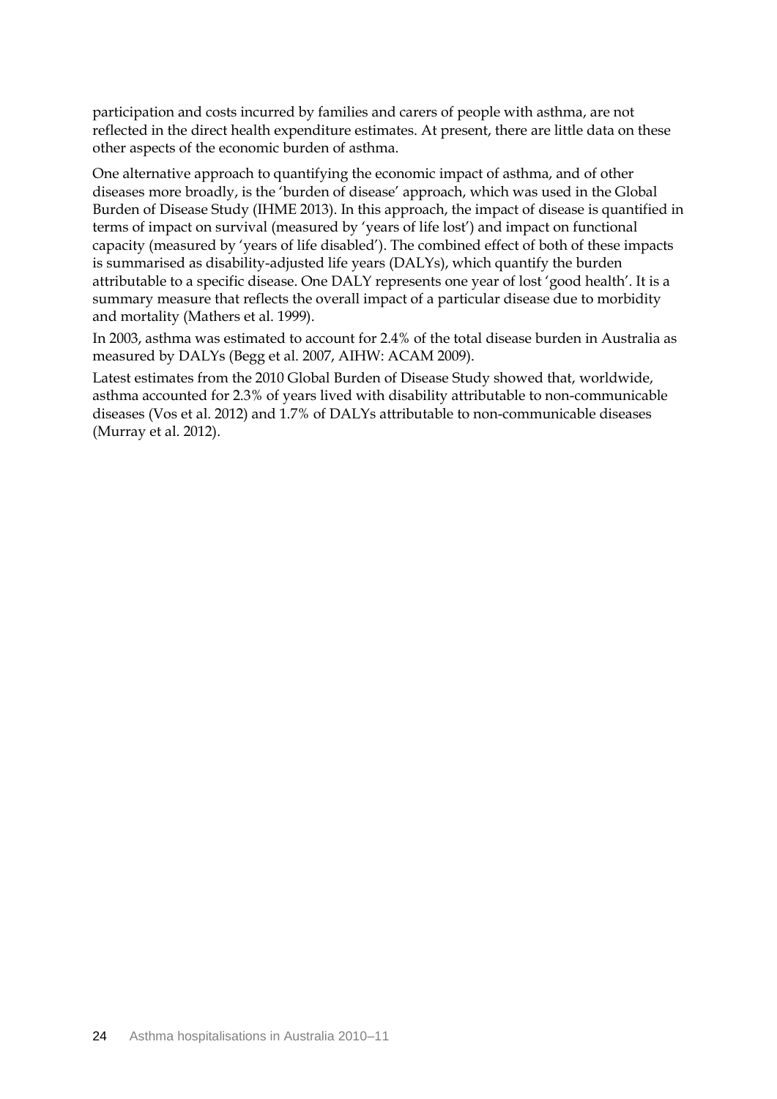participation and costs incurred by families and carers of people with asthma, are not reflected in the direct health expenditure estimates. At present, there are little data on these other aspects of the economic burden of asthma.

One alternative approach to quantifying the economic impact of asthma, and of other diseases more broadly, is the 'burden of disease' approach, which was used in the Global Burden of Disease Study (IHME 2013). In this approach, the impact of disease is quantified in terms of impact on survival (measured by 'years of life lost') and impact on functional capacity (measured by 'years of life disabled'). The combined effect of both of these impacts is summarised as disability-adjusted life years (DALYs), which quantify the burden attributable to a specific disease. One DALY represents one year of lost 'good health'. It is a summary measure that reflects the overall impact of a particular disease due to morbidity and mortality (Mathers et al. 1999).

In 2003, asthma was estimated to account for 2.4% of the total disease burden in Australia as measured by DALYs (Begg et al. 2007, AIHW: ACAM 2009).

Latest estimates from the 2010 Global Burden of Disease Study showed that, worldwide, asthma accounted for 2.3% of years lived with disability attributable to non-communicable diseases (Vos et al. 2012) and 1.7% of DALYs attributable to non-communicable diseases (Murray et al. 2012).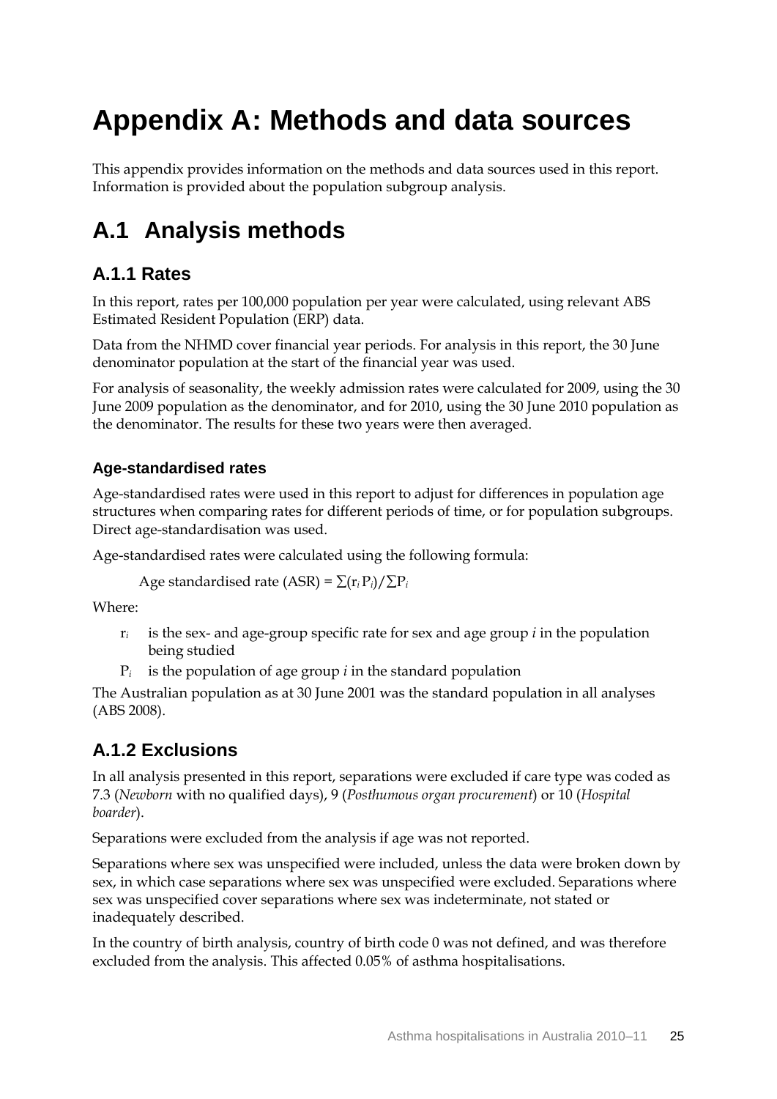# <span id="page-31-0"></span>**Appendix A: Methods and data sources**

This appendix provides information on the methods and data sources used in this report. Information is provided about the population subgroup analysis.

## <span id="page-31-1"></span>**A.1 Analysis methods**

### **A.1.1 Rates**

In this report, rates per 100,000 population per year were calculated, using relevant ABS Estimated Resident Population (ERP) data.

Data from the NHMD cover financial year periods. For analysis in this report, the 30 June denominator population at the start of the financial year was used.

For analysis of seasonality, the weekly admission rates were calculated for 2009, using the 30 June 2009 population as the denominator, and for 2010, using the 30 June 2010 population as the denominator. The results for these two years were then averaged.

### **Age-standardised rates**

Age-standardised rates were used in this report to adjust for differences in population age structures when comparing rates for different periods of time, or for population subgroups. Direct age-standardisation was used.

Age-standardised rates were calculated using the following formula:

Age standardised rate (ASR) =  $\sum (r_i P_i) / \sum P_i$ 

Where:

- r*<sup>i</sup>* is the sex- and age-group specific rate for sex and age group *i* in the population being studied
- P*<sup>i</sup>* is the population of age group *i* in the standard population

The Australian population as at 30 June 2001 was the standard population in all analyses (ABS 2008).

### **A.1.2 Exclusions**

In all analysis presented in this report, separations were excluded if care type was coded as 7.3 (*Newborn* with no qualified days), 9 (*Posthumous organ procurement*) or 10 (*Hospital boarder*).

Separations were excluded from the analysis if age was not reported.

Separations where sex was unspecified were included, unless the data were broken down by sex, in which case separations where sex was unspecified were excluded. Separations where sex was unspecified cover separations where sex was indeterminate, not stated or inadequately described.

In the country of birth analysis, country of birth code 0 was not defined, and was therefore excluded from the analysis. This affected 0.05% of asthma hospitalisations.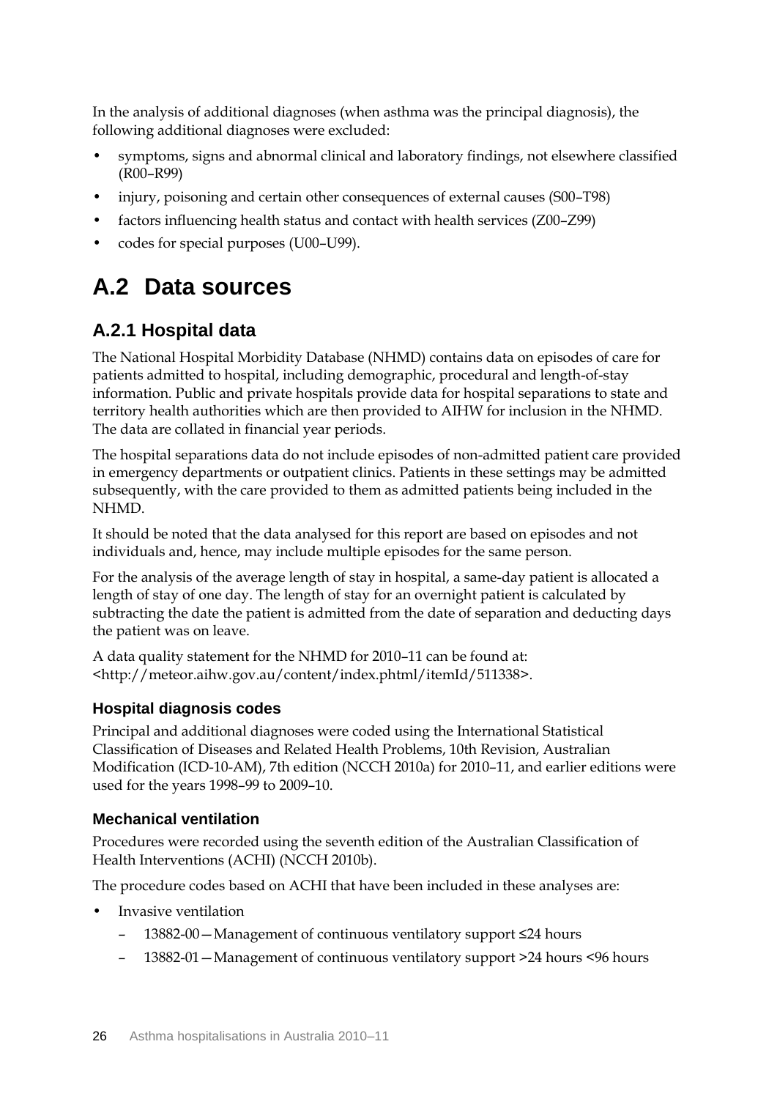In the analysis of additional diagnoses (when asthma was the principal diagnosis), the following additional diagnoses were excluded:

- symptoms, signs and abnormal clinical and laboratory findings, not elsewhere classified (R00–R99)
- injury, poisoning and certain other consequences of external causes (S00–T98)
- factors influencing health status and contact with health services (Z00–Z99)
- codes for special purposes (U00–U99).

### <span id="page-32-0"></span>**A.2 Data sources**

### **A.2.1 Hospital data**

The National Hospital Morbidity Database (NHMD) contains data on episodes of care for patients admitted to hospital, including demographic, procedural and length-of-stay information. Public and private hospitals provide data for hospital separations to state and territory health authorities which are then provided to AIHW for inclusion in the NHMD. The data are collated in financial year periods.

The hospital separations data do not include episodes of non-admitted patient care provided in emergency departments or outpatient clinics. Patients in these settings may be admitted subsequently, with the care provided to them as admitted patients being included in the NHMD.

It should be noted that the data analysed for this report are based on episodes and not individuals and, hence, may include multiple episodes for the same person.

For the analysis of the average length of stay in hospital, a same-day patient is allocated a length of stay of one day. The length of stay for an overnight patient is calculated by subtracting the date the patient is admitted from the date of separation and deducting days the patient was on leave.

A data quality statement for the NHMD for 2010–11 can be found at: <http://meteor.aihw.gov.au/content/index.phtml/itemId/511338>.

### **Hospital diagnosis codes**

Principal and additional diagnoses were coded using the International Statistical Classification of Diseases and Related Health Problems, 10th Revision, Australian Modification (ICD-10-AM), 7th edition (NCCH 2010a) for 2010–11, and earlier editions were used for the years 1998–99 to 2009–10.

### **Mechanical ventilation**

Procedures were recorded using the seventh edition of the Australian Classification of Health Interventions (ACHI) (NCCH 2010b).

The procedure codes based on ACHI that have been included in these analyses are:

- Invasive ventilation
	- 13882-00—Management of continuous ventilatory support ≤24 hours
	- 13882-01—Management of continuous ventilatory support >24 hours <96 hours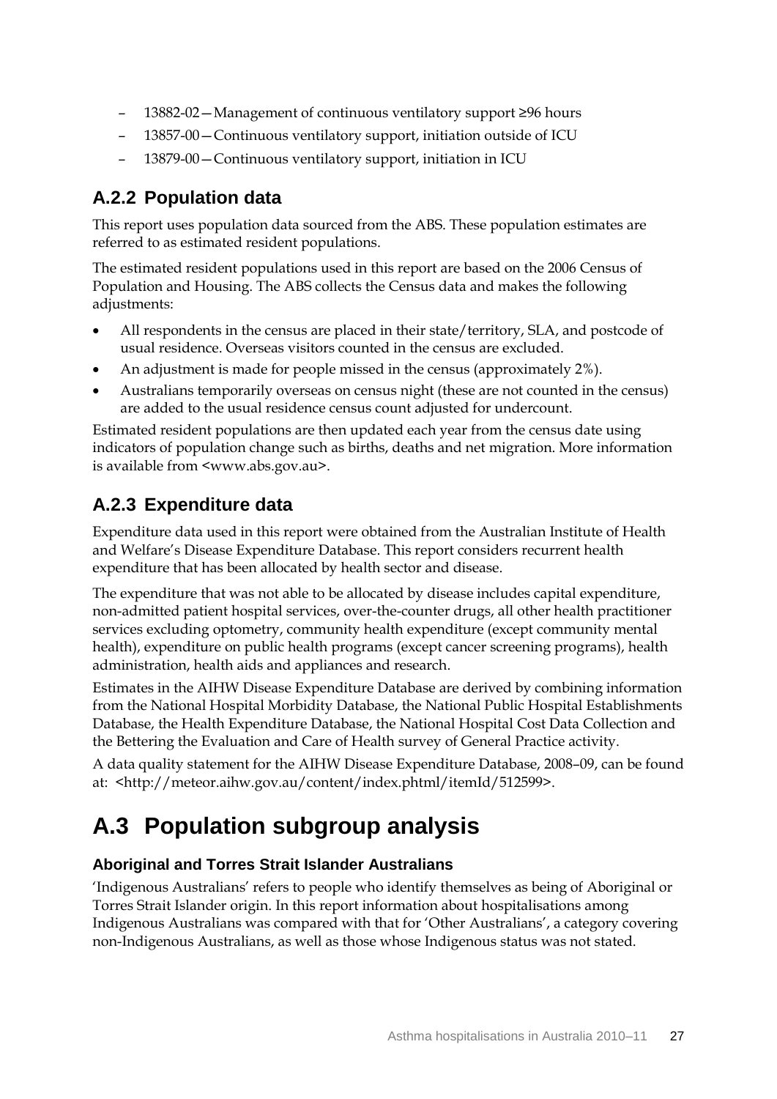- 13882-02—Management of continuous ventilatory support ≥96 hours
- 13857-00—Continuous ventilatory support, initiation outside of ICU
- 13879-00—Continuous ventilatory support, initiation in ICU

### **A.2.2 Population data**

This report uses population data sourced from the ABS. These population estimates are referred to as estimated resident populations.

The estimated resident populations used in this report are based on the 2006 Census of Population and Housing. The ABS collects the Census data and makes the following adjustments:

- All respondents in the census are placed in their state/territory, SLA, and postcode of usual residence. Overseas visitors counted in the census are excluded.
- An adjustment is made for people missed in the census (approximately 2%).
- Australians temporarily overseas on census night (these are not counted in the census) are added to the usual residence census count adjusted for undercount.

Estimated resident populations are then updated each year from the census date using indicators of population change such as births, deaths and net migration. More information is available from <www.abs.gov.au>.

### **A.2.3 Expenditure data**

Expenditure data used in this report were obtained from the Australian Institute of Health and Welfare's Disease Expenditure Database. This report considers recurrent health expenditure that has been allocated by health sector and disease.

The expenditure that was not able to be allocated by disease includes capital expenditure, non-admitted patient hospital services, over-the-counter drugs, all other health practitioner services excluding optometry, community health expenditure (except community mental health), expenditure on public health programs (except cancer screening programs), health administration, health aids and appliances and research.

Estimates in the AIHW Disease Expenditure Database are derived by combining information from the National Hospital Morbidity Database, the National Public Hospital Establishments Database, the Health Expenditure Database, the National Hospital Cost Data Collection and the Bettering the Evaluation and Care of Health survey of General Practice activity.

A data quality statement for the AIHW Disease Expenditure Database, 2008–09, can be found at: [<http://meteor.aihw.gov.au/content/index.phtml/itemId/512599>](http://meteor.aihw.gov.au/content/index.phtml/itemId/512599).

## <span id="page-33-0"></span>**A.3 Population subgroup analysis**

### **Aboriginal and Torres Strait Islander Australians**

'Indigenous Australians' refers to people who identify themselves as being of Aboriginal or Torres Strait Islander origin. In this report information about hospitalisations among Indigenous Australians was compared with that for 'Other Australians', a category covering non-Indigenous Australians, as well as those whose Indigenous status was not stated.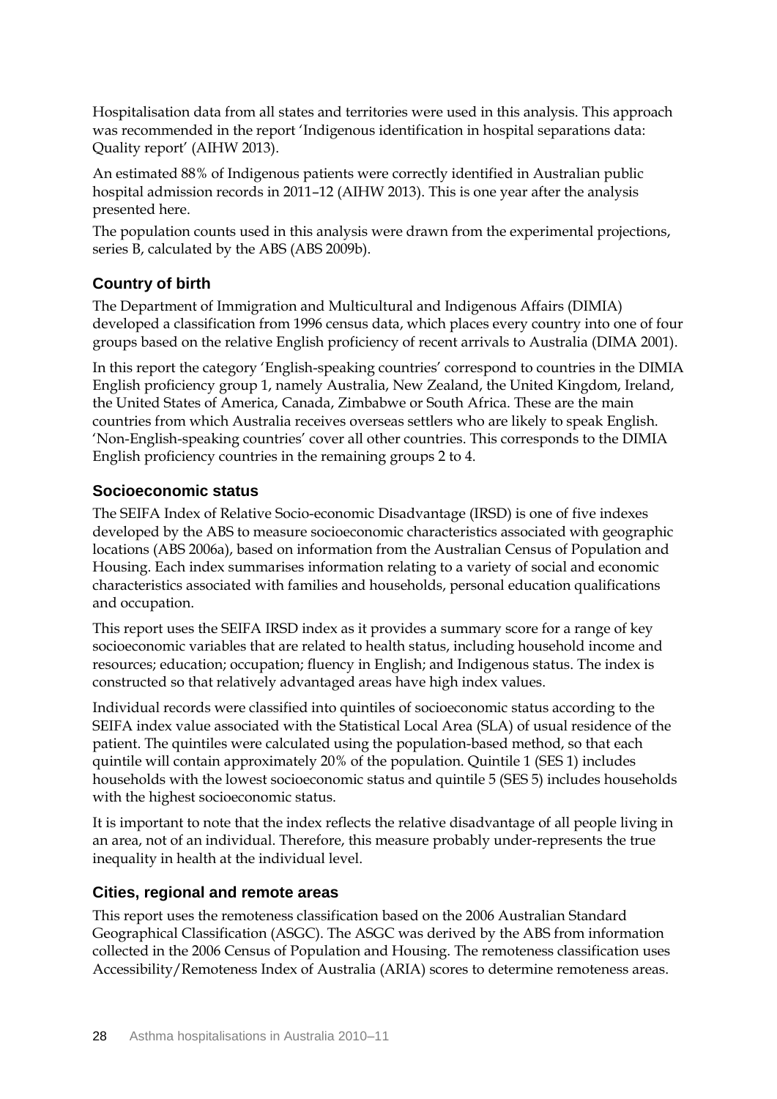Hospitalisation data from all states and territories were used in this analysis. This approach was recommended in the report 'Indigenous identification in hospital separations data: Quality report' (AIHW 2013).

An estimated 88% of Indigenous patients were correctly identified in Australian public hospital admission records in 2011–12 (AIHW 2013). This is one year after the analysis presented here.

The population counts used in this analysis were drawn from the experimental projections, series B, calculated by the ABS (ABS 2009b).

### **Country of birth**

The Department of Immigration and Multicultural and Indigenous Affairs (DIMIA) developed a classification from 1996 census data, which places every country into one of four groups based on the relative English proficiency of recent arrivals to Australia (DIMA 2001).

In this report the category 'English-speaking countries' correspond to countries in the DIMIA English proficiency group 1, namely Australia, New Zealand, the United Kingdom, Ireland, the United States of America, Canada, Zimbabwe or South Africa. These are the main countries from which Australia receives overseas settlers who are likely to speak English. 'Non-English-speaking countries' cover all other countries. This corresponds to the DIMIA English proficiency countries in the remaining groups 2 to 4.

### **Socioeconomic status**

The SEIFA Index of Relative Socio-economic Disadvantage (IRSD) is one of five indexes developed by the ABS to measure socioeconomic characteristics associated with geographic locations (ABS 2006a), based on information from the Australian Census of Population and Housing. Each index summarises information relating to a variety of social and economic characteristics associated with families and households, personal education qualifications and occupation.

This report uses the SEIFA IRSD index as it provides a summary score for a range of key socioeconomic variables that are related to health status, including household income and resources; education; occupation; fluency in English; and Indigenous status. The index is constructed so that relatively advantaged areas have high index values.

Individual records were classified into quintiles of socioeconomic status according to the SEIFA index value associated with the Statistical Local Area (SLA) of usual residence of the patient. The quintiles were calculated using the population-based method, so that each quintile will contain approximately 20% of the population. Quintile 1 (SES 1) includes households with the lowest socioeconomic status and quintile 5 (SES 5) includes households with the highest socioeconomic status.

It is important to note that the index reflects the relative disadvantage of all people living in an area, not of an individual. Therefore, this measure probably under-represents the true inequality in health at the individual level.

#### **Cities, regional and remote areas**

This report uses the remoteness classification based on the 2006 Australian Standard Geographical Classification (ASGC). The ASGC was derived by the ABS from information collected in the 2006 Census of Population and Housing. The remoteness classification uses Accessibility/Remoteness Index of Australia (ARIA) scores to determine remoteness areas.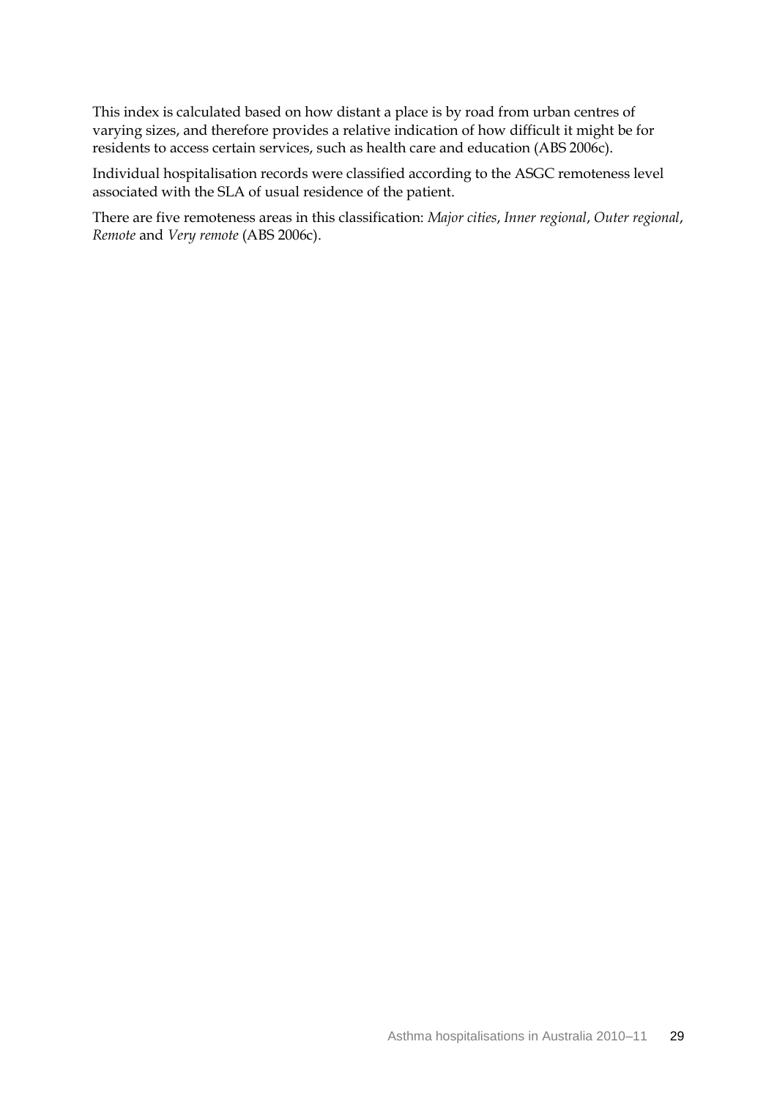This index is calculated based on how distant a place is by road from urban centres of varying sizes, and therefore provides a relative indication of how difficult it might be for residents to access certain services, such as health care and education (ABS 2006c).

Individual hospitalisation records were classified according to the ASGC remoteness level associated with the SLA of usual residence of the patient.

There are five remoteness areas in this classification: *Major cities*, *Inner regional*, *Outer regional*, *Remote* and *Very remote* (ABS 2006c).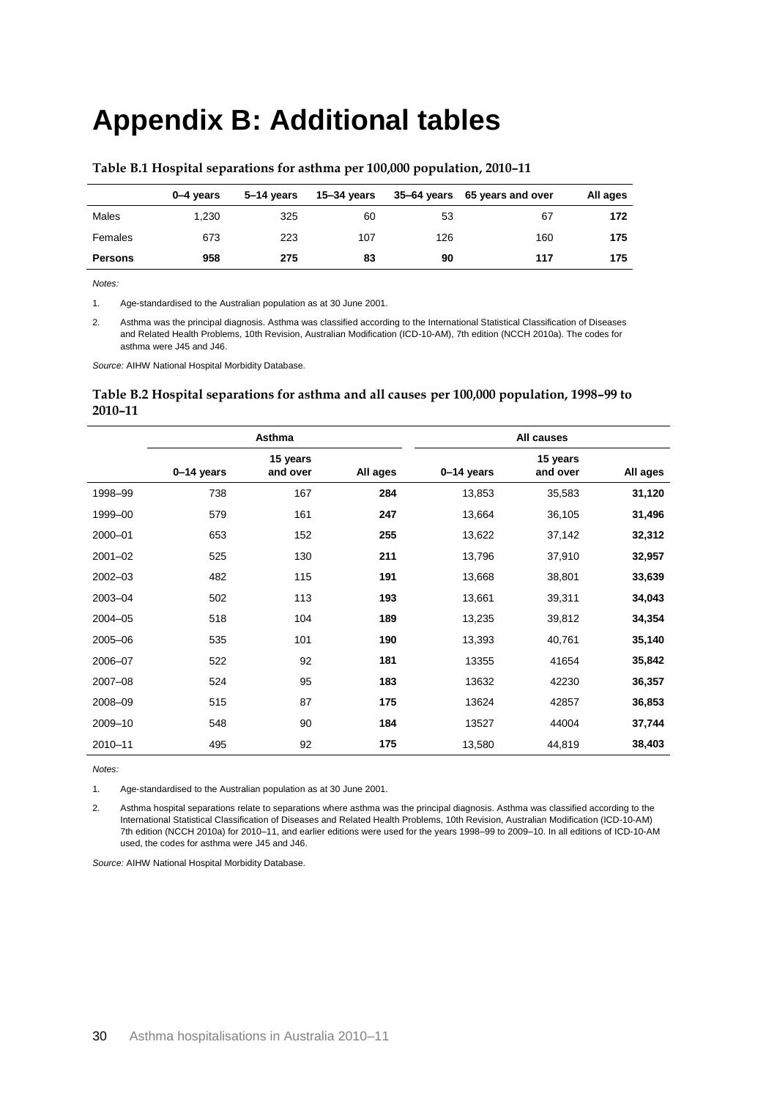## <span id="page-36-0"></span>**Appendix B: Additional tables**

|                | 0–4 vears | 5–14 years | 15–34 years |     | 35–64 years 65 years and over | All ages |
|----------------|-----------|------------|-------------|-----|-------------------------------|----------|
| Males          | 1.230     | 325        | 60          | 53  | 67                            | 172      |
| Females        | 673       | 223        | 107         | 126 | 160                           | 175      |
| <b>Persons</b> | 958       | 275        | 83          | 90  | 117                           | 175      |

#### <span id="page-36-1"></span>**Table B.1 Hospital separations for asthma per 100,000 population, 2010–11**

*Notes:*

1. Age-standardised to the Australian population as at 30 June 2001.

2. Asthma was the principal diagnosis. Asthma was classified according to the International Statistical Classification of Diseases and Related Health Problems, 10th Revision, Australian Modification (ICD-10-AM), 7th edition (NCCH 2010a). The codes for asthma were J45 and J46.

*Source:* AIHW National Hospital Morbidity Database.

#### <span id="page-36-2"></span>**Table B.2 Hospital separations for asthma and all causes per 100,000 population, 1998–99 to 2010–11**

|             | Asthma     |                      |          | All causes   |                      |          |
|-------------|------------|----------------------|----------|--------------|----------------------|----------|
|             | 0-14 years | 15 years<br>and over | All ages | $0-14$ years | 15 years<br>and over | All ages |
| 1998-99     | 738        | 167                  | 284      | 13,853       | 35,583               | 31,120   |
| 1999-00     | 579        | 161                  | 247      | 13,664       | 36,105               | 31,496   |
| 2000-01     | 653        | 152                  | 255      | 13,622       | 37,142               | 32,312   |
| $2001 - 02$ | 525        | 130                  | 211      | 13,796       | 37,910               | 32,957   |
| $2002 - 03$ | 482        | 115                  | 191      | 13,668       | 38,801               | 33,639   |
| 2003-04     | 502        | 113                  | 193      | 13,661       | 39,311               | 34,043   |
| 2004-05     | 518        | 104                  | 189      | 13,235       | 39,812               | 34,354   |
| 2005-06     | 535        | 101                  | 190      | 13,393       | 40,761               | 35,140   |
| 2006-07     | 522        | 92                   | 181      | 13355        | 41654                | 35,842   |
| 2007-08     | 524        | 95                   | 183      | 13632        | 42230                | 36,357   |
| 2008-09     | 515        | 87                   | 175      | 13624        | 42857                | 36,853   |
| 2009-10     | 548        | 90                   | 184      | 13527        | 44004                | 37,744   |
| 2010-11     | 495        | 92                   | 175      | 13,580       | 44,819               | 38,403   |

*Notes:*

1. Age-standardised to the Australian population as at 30 June 2001.

2. Asthma hospital separations relate to separations where asthma was the principal diagnosis. Asthma was classified according to the International Statistical Classification of Diseases and Related Health Problems, 10th Revision, Australian Modification (ICD-10-AM) 7th edition (NCCH 2010a) for 2010–11, and earlier editions were used for the years 1998–99 to 2009–10. In all editions of ICD-10-AM used, the codes for asthma were J45 and J46.

*Source:* AIHW National Hospital Morbidity Database.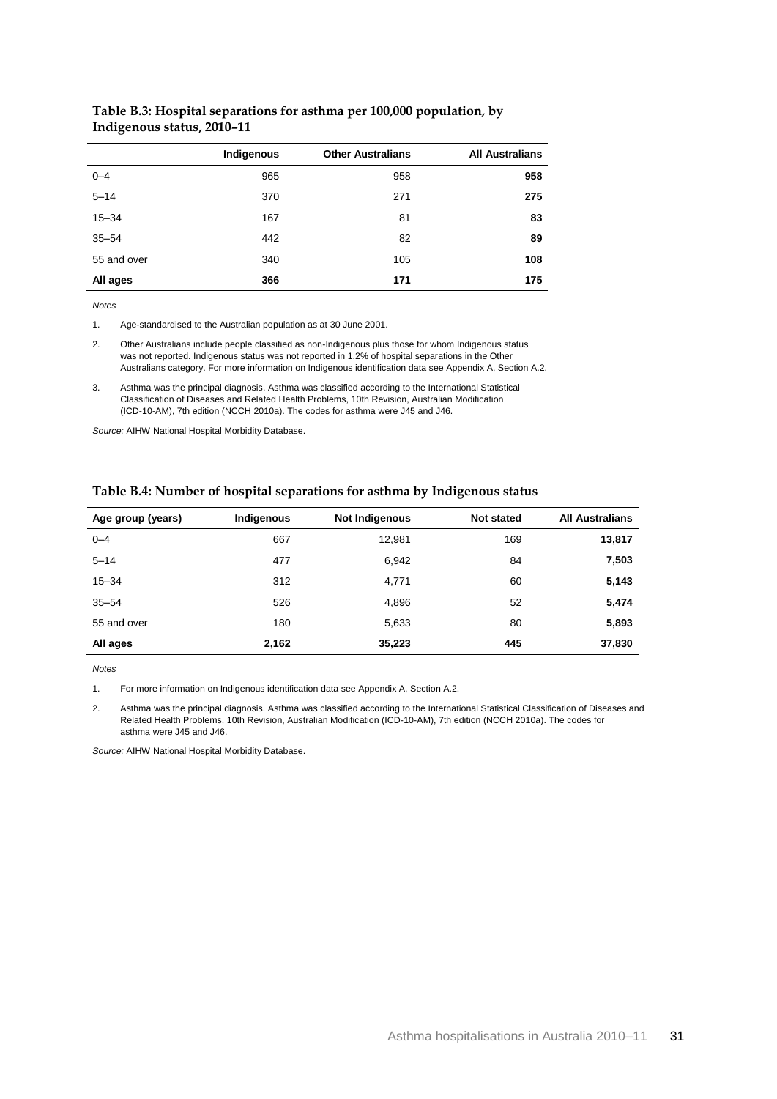|             | Indigenous | <b>Other Australians</b> | <b>All Australians</b> |
|-------------|------------|--------------------------|------------------------|
| $0 - 4$     | 965        | 958                      | 958                    |
| $5 - 14$    | 370        | 271                      | 275                    |
| $15 - 34$   | 167        | 81                       | 83                     |
| $35 - 54$   | 442        | 82                       | 89                     |
| 55 and over | 340        | 105                      | 108                    |
| All ages    | 366        | 171                      | 175                    |

#### <span id="page-37-0"></span>**Table B.3: Hospital separations for asthma per 100,000 population, by Indigenous status, 2010–11**

*Notes*

1. Age-standardised to the Australian population as at 30 June 2001.

2. Other Australians include people classified as non-Indigenous plus those for whom Indigenous status was not reported. Indigenous status was not reported in 1.2% of hospital separations in the Other Australians category. For more information on Indigenous identification data see Appendix A, Section A.2.

3. Asthma was the principal diagnosis. Asthma was classified according to the International Statistical Classification of Diseases and Related Health Problems, 10th Revision, Australian Modification (ICD-10-AM), 7th edition (NCCH 2010a). The codes for asthma were J45 and J46.

*Source:* AIHW National Hospital Morbidity Database.

| Age group (years) | Indigenous | <b>Not Indigenous</b> | <b>Not stated</b> | <b>All Australians</b> |
|-------------------|------------|-----------------------|-------------------|------------------------|
| $0 - 4$           | 667        | 12,981                | 169               | 13,817                 |
| $5 - 14$          | 477        | 6,942                 | 84                | 7,503                  |
| $15 - 34$         | 312        | 4,771                 | 60                | 5,143                  |
| $35 - 54$         | 526        | 4,896                 | 52                | 5,474                  |
| 55 and over       | 180        | 5,633                 | 80                | 5,893                  |
| All ages          | 2,162      | 35,223                | 445               | 37,830                 |

#### <span id="page-37-1"></span>**Table B.4: Number of hospital separations for asthma by Indigenous status**

*Notes*

1. For more information on Indigenous identification data see Appendix A, Section A.2.

2. Asthma was the principal diagnosis. Asthma was classified according to the International Statistical Classification of Diseases and Related Health Problems, 10th Revision, Australian Modification (ICD-10-AM), 7th edition (NCCH 2010a). The codes for asthma were J45 and J46.

*Source:* AIHW National Hospital Morbidity Database.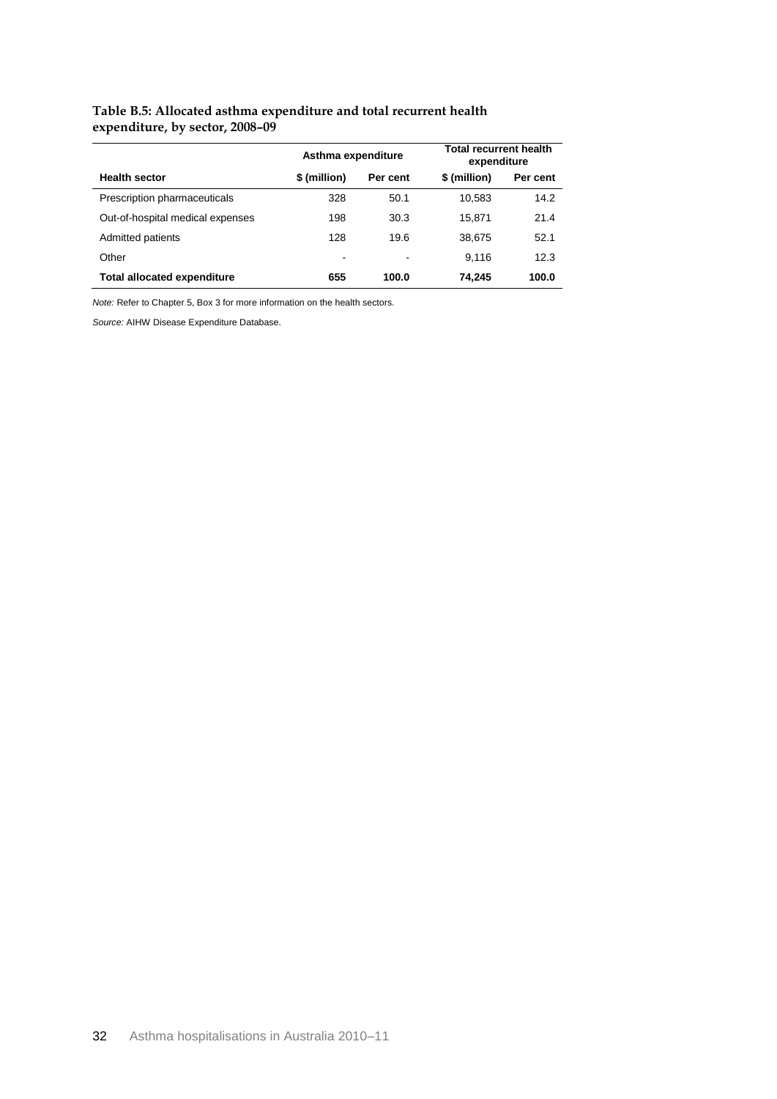#### <span id="page-38-0"></span>**Table B.5: Allocated asthma expenditure and total recurrent health expenditure, by sector, 2008–09**

|                                    | Asthma expenditure |          | <b>Total recurrent health</b><br>expenditure |          |
|------------------------------------|--------------------|----------|----------------------------------------------|----------|
| <b>Health sector</b>               | \$(million)        | Per cent | \$ (million)                                 | Per cent |
| Prescription pharmaceuticals       | 328                | 50.1     | 10.583                                       | 14.2     |
| Out-of-hospital medical expenses   | 198                | 30.3     | 15.871                                       | 21.4     |
| Admitted patients                  | 128                | 19.6     | 38.675                                       | 52.1     |
| Other                              |                    |          | 9.116                                        | 12.3     |
| <b>Total allocated expenditure</b> | 655                | 100.0    | 74.245                                       | 100.0    |

*Note:* Refer to Chapter 5, Box 3 for more information on the health sectors.

*Source:* AIHW Disease Expenditure Database.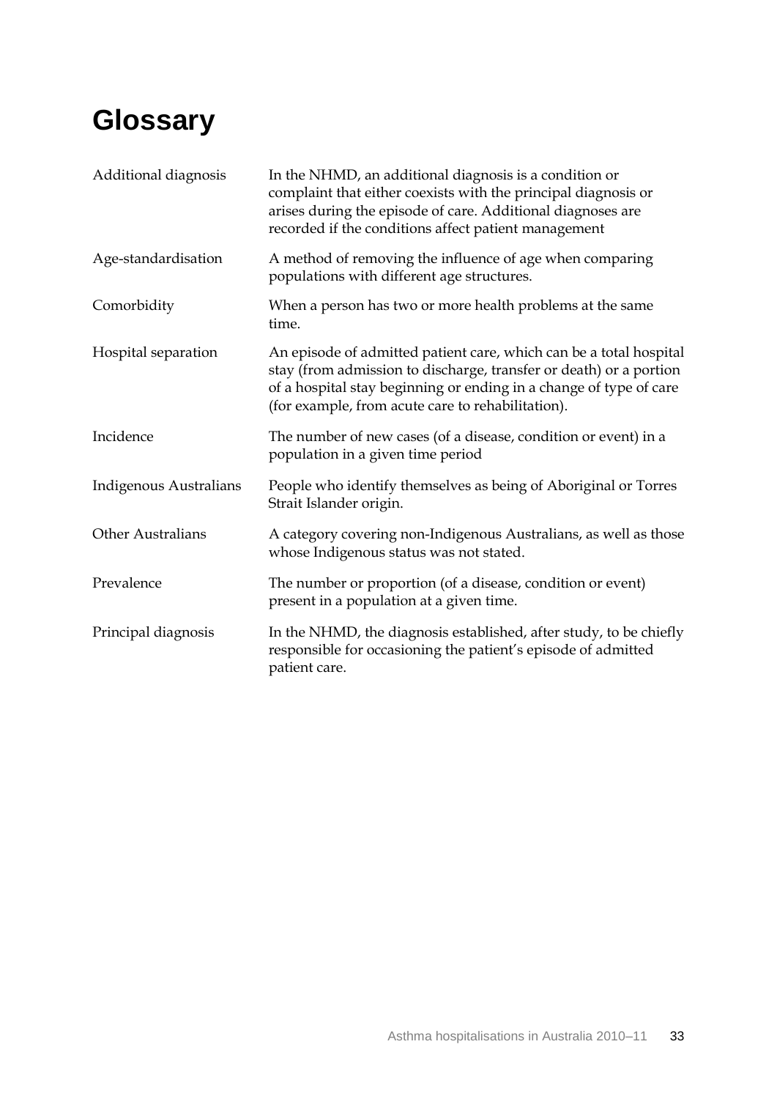# <span id="page-39-0"></span>**Glossary**

| Additional diagnosis          | In the NHMD, an additional diagnosis is a condition or<br>complaint that either coexists with the principal diagnosis or<br>arises during the episode of care. Additional diagnoses are<br>recorded if the conditions affect patient management                     |
|-------------------------------|---------------------------------------------------------------------------------------------------------------------------------------------------------------------------------------------------------------------------------------------------------------------|
| Age-standardisation           | A method of removing the influence of age when comparing<br>populations with different age structures.                                                                                                                                                              |
| Comorbidity                   | When a person has two or more health problems at the same<br>time.                                                                                                                                                                                                  |
| Hospital separation           | An episode of admitted patient care, which can be a total hospital<br>stay (from admission to discharge, transfer or death) or a portion<br>of a hospital stay beginning or ending in a change of type of care<br>(for example, from acute care to rehabilitation). |
| Incidence                     | The number of new cases (of a disease, condition or event) in a<br>population in a given time period                                                                                                                                                                |
| <b>Indigenous Australians</b> | People who identify themselves as being of Aboriginal or Torres<br>Strait Islander origin.                                                                                                                                                                          |
| <b>Other Australians</b>      | A category covering non-Indigenous Australians, as well as those<br>whose Indigenous status was not stated.                                                                                                                                                         |
| Prevalence                    | The number or proportion (of a disease, condition or event)<br>present in a population at a given time.                                                                                                                                                             |
| Principal diagnosis           | In the NHMD, the diagnosis established, after study, to be chiefly<br>responsible for occasioning the patient's episode of admitted<br>patient care.                                                                                                                |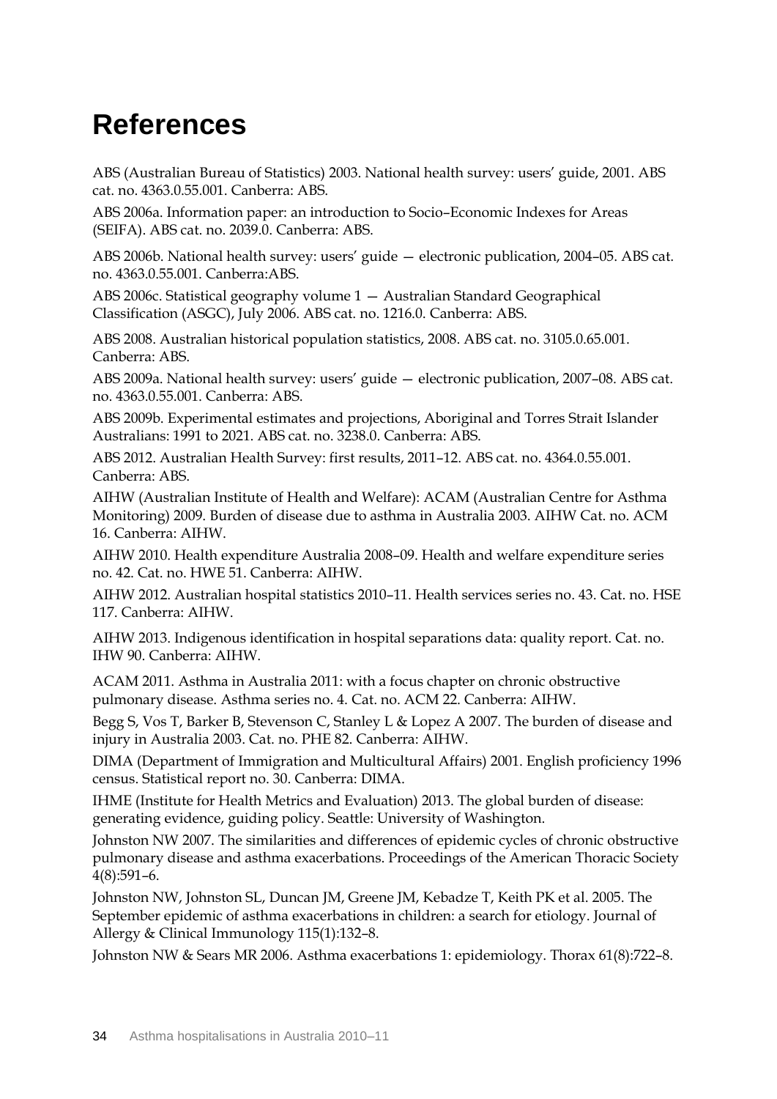## <span id="page-40-0"></span>**References**

ABS (Australian Bureau of Statistics) 2003. National health survey: users' guide, 2001. ABS cat. no. 4363.0.55.001. Canberra: ABS.

ABS 2006a. Information paper: an introduction to Socio–Economic Indexes for Areas (SEIFA). ABS cat. no. 2039.0. Canberra: ABS.

ABS 2006b. National health survey: users' guide — electronic publication, 2004–05. ABS cat. no. 4363.0.55.001. Canberra:ABS.

ABS 2006c. Statistical geography volume 1 — Australian Standard Geographical Classification (ASGC), July 2006. ABS cat. no. 1216.0. Canberra: ABS.

ABS 2008. Australian historical population statistics, 2008. ABS cat. no. 3105.0.65.001. Canberra: ABS.

ABS 2009a. National health survey: users' guide — electronic publication, 2007–08. ABS cat. no. 4363.0.55.001. Canberra: ABS.

ABS 2009b. Experimental estimates and projections, Aboriginal and Torres Strait Islander Australians: 1991 to 2021. ABS cat. no. 3238.0. Canberra: ABS.

ABS 2012. Australian Health Survey: first results, 2011–12. ABS cat. no. 4364.0.55.001. Canberra: ABS.

AIHW (Australian Institute of Health and Welfare): ACAM (Australian Centre for Asthma Monitoring) 2009. Burden of disease due to asthma in Australia 2003. AIHW Cat. no. ACM 16. Canberra: AIHW.

AIHW 2010. Health expenditure Australia 2008–09. Health and welfare expenditure series no. 42. Cat. no. HWE 51. Canberra: AIHW.

AIHW 2012. Australian hospital statistics 2010–11. Health services series no. 43. Cat. no. HSE 117. Canberra: AIHW.

AIHW 2013. Indigenous identification in hospital separations data: quality report. Cat. no. IHW 90. Canberra: AIHW.

ACAM 2011. Asthma in Australia 2011: with a focus chapter on chronic obstructive pulmonary disease. Asthma series no. 4. Cat. no. ACM 22. Canberra: AIHW.

Begg S, Vos T, Barker B, Stevenson C, Stanley L & Lopez A 2007. The burden of disease and injury in Australia 2003. Cat. no. PHE 82. Canberra: AIHW.

DIMA (Department of Immigration and Multicultural Affairs) 2001. English proficiency 1996 census. Statistical report no. 30. Canberra: DIMA.

IHME (Institute for Health Metrics and Evaluation) 2013. The global burden of disease: generating evidence, guiding policy. Seattle: University of Washington.

Johnston NW 2007. The similarities and differences of epidemic cycles of chronic obstructive pulmonary disease and asthma exacerbations. Proceedings of the American Thoracic Society 4(8):591–6.

Johnston NW, Johnston SL, Duncan JM, Greene JM, Kebadze T, Keith PK et al. 2005. The September epidemic of asthma exacerbations in children: a search for etiology. Journal of Allergy & Clinical Immunology 115(1):132–8.

Johnston NW & Sears MR 2006. Asthma exacerbations 1: epidemiology. Thorax 61(8):722–8.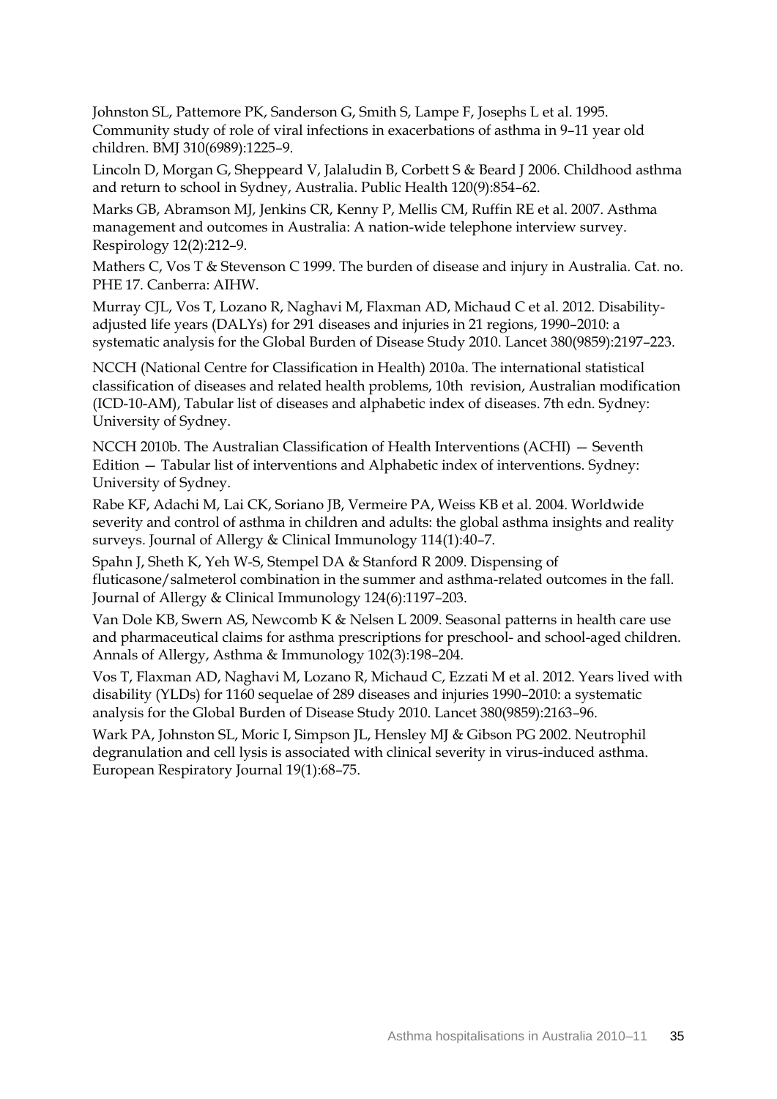Johnston SL, Pattemore PK, Sanderson G, Smith S, Lampe F, Josephs L et al. 1995. Community study of role of viral infections in exacerbations of asthma in 9–11 year old children. BMJ 310(6989):1225–9.

Lincoln D, Morgan G, Sheppeard V, Jalaludin B, Corbett S & Beard J 2006. Childhood asthma and return to school in Sydney, Australia. Public Health 120(9):854–62.

<span id="page-41-0"></span>Marks GB, Abramson MJ, Jenkins CR, Kenny P, Mellis CM, Ruffin RE et al. 2007. Asthma management and outcomes in Australia: A nation-wide telephone interview survey. Respirology 12(2):212–9.

Mathers C, Vos T & Stevenson C 1999. The burden of disease and injury in Australia. Cat. no. PHE 17. Canberra: AIHW.

Murray CJL, Vos T, Lozano R, Naghavi M, Flaxman AD, Michaud C et al. 2012. Disabilityadjusted life years (DALYs) for 291 diseases and injuries in 21 regions, 1990–2010: a systematic analysis for the Global Burden of Disease Study 2010. Lancet 380(9859):2197–223.

NCCH (National Centre for Classification in Health) 2010a. The international statistical classification of diseases and related health problems, 10th revision, Australian modification (ICD-10-AM), Tabular list of diseases and alphabetic index of diseases. 7th edn. Sydney: University of Sydney.

NCCH 2010b. The Australian Classification of Health Interventions (ACHI) — Seventh Edition — Tabular list of interventions and Alphabetic index of interventions. Sydney: University of Sydney.

<span id="page-41-1"></span>Rabe KF, Adachi M, Lai CK, Soriano JB, Vermeire PA, Weiss KB et al. 2004. Worldwide severity and control of asthma in children and adults: the global asthma insights and reality surveys. Journal of Allergy & Clinical Immunology 114(1):40–7.

Spahn J, Sheth K, Yeh W-S, Stempel DA & Stanford R 2009. Dispensing of fluticasone/salmeterol combination in the summer and asthma-related outcomes in the fall. Journal of Allergy & Clinical Immunology 124(6):1197–203.

Van Dole KB, Swern AS, Newcomb K & Nelsen L 2009. Seasonal patterns in health care use and pharmaceutical claims for asthma prescriptions for preschool- and school-aged children. Annals of Allergy, Asthma & Immunology 102(3):198–204.

Vos T, Flaxman AD, Naghavi M, Lozano R, Michaud C, Ezzati M et al. 2012. Years lived with disability (YLDs) for 1160 sequelae of 289 diseases and injuries 1990–2010: a systematic analysis for the Global Burden of Disease Study 2010. Lancet 380(9859):2163–96.

Wark PA, Johnston SL, Moric I, Simpson JL, Hensley MJ & Gibson PG 2002. Neutrophil degranulation and cell lysis is associated with clinical severity in virus-induced asthma. European Respiratory Journal 19(1):68–75.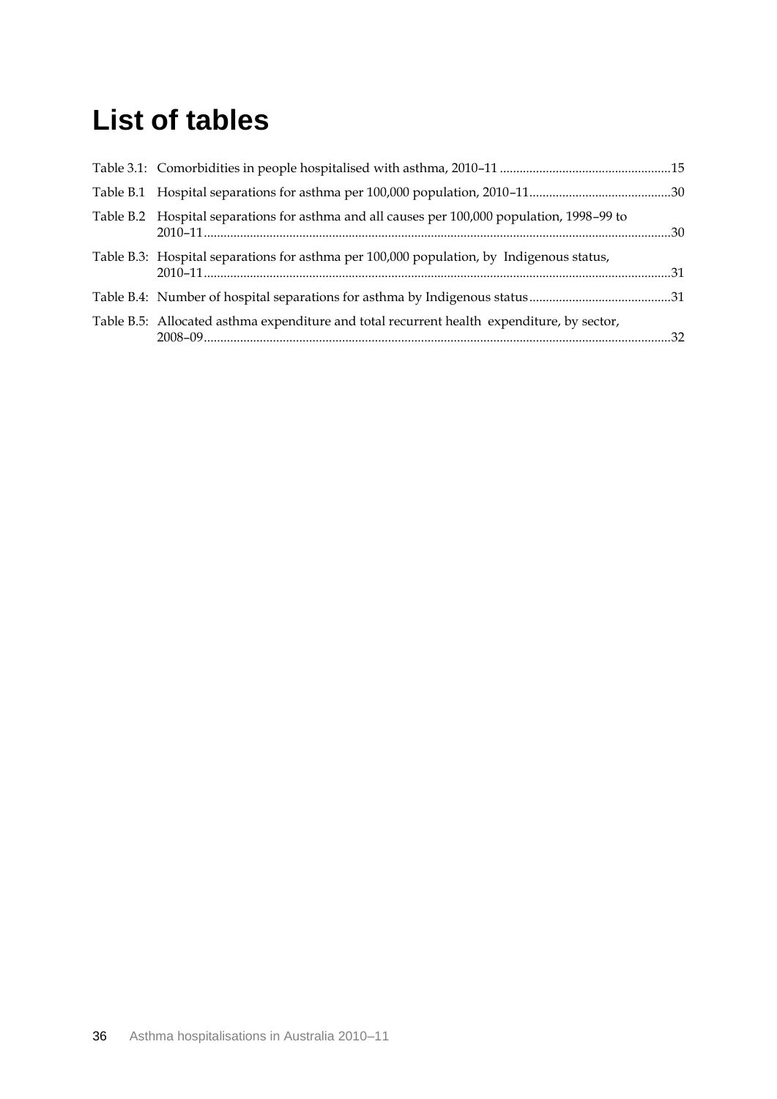## <span id="page-42-0"></span>**List of tables**

| Table B.2 Hospital separations for asthma and all causes per 100,000 population, 1998–99 to |  |
|---------------------------------------------------------------------------------------------|--|
| Table B.3: Hospital separations for asthma per 100,000 population, by Indigenous status,    |  |
|                                                                                             |  |
| Table B.5: Allocated asthma expenditure and total recurrent health expenditure, by sector,  |  |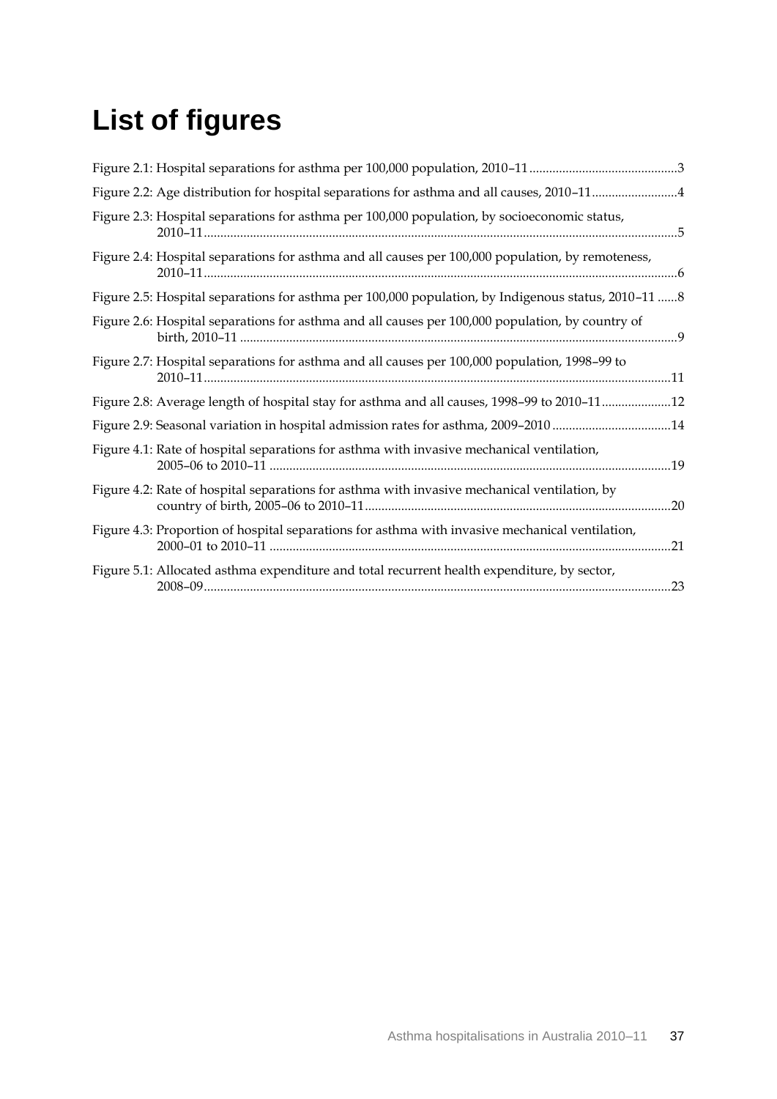# <span id="page-43-0"></span>**List of figures**

| Figure 2.2: Age distribution for hospital separations for asthma and all causes, 2010-114           |
|-----------------------------------------------------------------------------------------------------|
| Figure 2.3: Hospital separations for asthma per 100,000 population, by socioeconomic status,        |
| Figure 2.4: Hospital separations for asthma and all causes per 100,000 population, by remoteness,   |
| Figure 2.5: Hospital separations for asthma per 100,000 population, by Indigenous status, 2010-11 8 |
| Figure 2.6: Hospital separations for asthma and all causes per 100,000 population, by country of    |
| Figure 2.7: Hospital separations for asthma and all causes per 100,000 population, 1998-99 to       |
| Figure 2.8: Average length of hospital stay for asthma and all causes, 1998-99 to 2010-1112         |
| Figure 2.9: Seasonal variation in hospital admission rates for asthma, 2009-2010 14                 |
| Figure 4.1: Rate of hospital separations for asthma with invasive mechanical ventilation,           |
| Figure 4.2: Rate of hospital separations for asthma with invasive mechanical ventilation, by        |
| Figure 4.3: Proportion of hospital separations for asthma with invasive mechanical ventilation,     |
| Figure 5.1: Allocated asthma expenditure and total recurrent health expenditure, by sector,         |